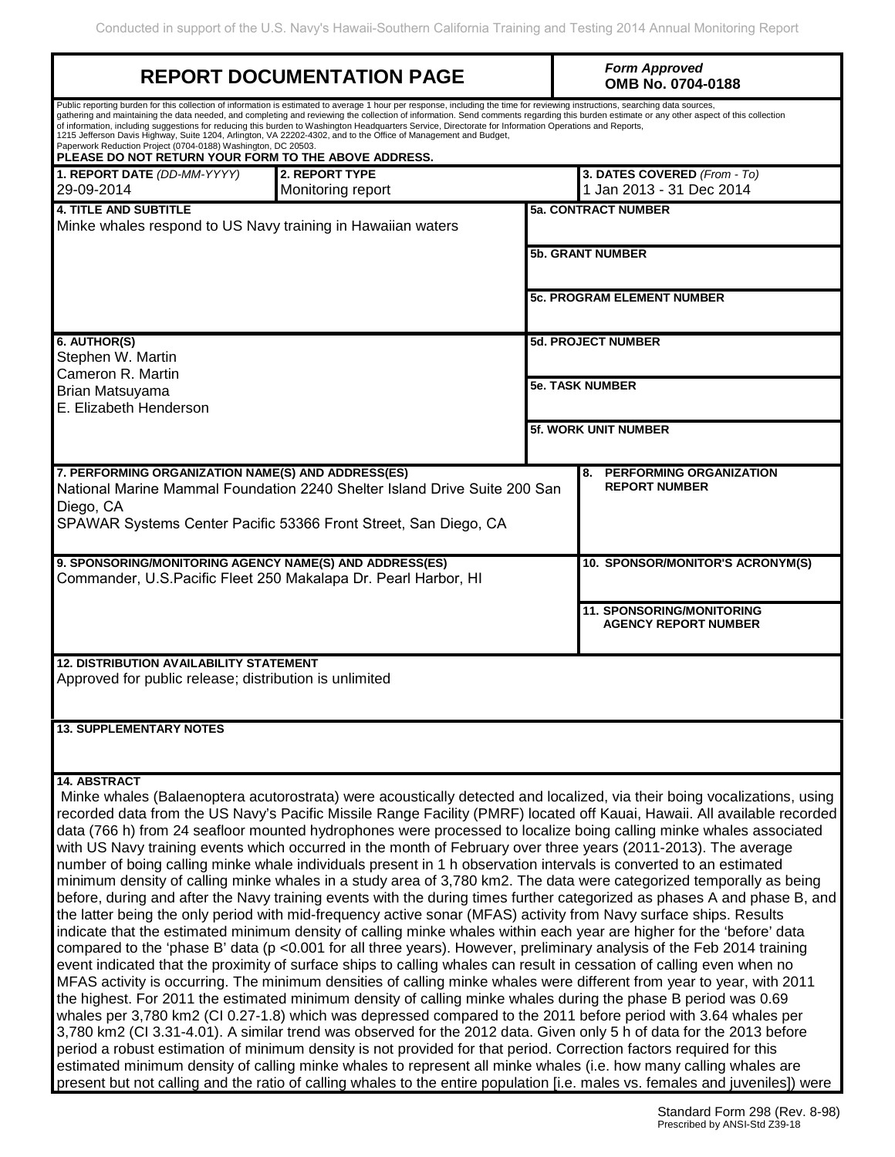|                                                                                                                            | <b>REPORT DOCUMENTATION PAGE</b>                                                                                                                                                                                                                                                                                                                                                                                                                                                                                                                                                                                                                                                                                           |                             | <b>Form Approved</b><br>OMB No. 0704-0188                                                                                                                                                                                                                                                                                                                                                                                                                                                                                                                                                                                                                                                                                                                                                                                                                                                                                                                                                                                                                                                                                                                                                                                                                                                                                                                                                                                                                                                                 |  |  |  |
|----------------------------------------------------------------------------------------------------------------------------|----------------------------------------------------------------------------------------------------------------------------------------------------------------------------------------------------------------------------------------------------------------------------------------------------------------------------------------------------------------------------------------------------------------------------------------------------------------------------------------------------------------------------------------------------------------------------------------------------------------------------------------------------------------------------------------------------------------------------|-----------------------------|-----------------------------------------------------------------------------------------------------------------------------------------------------------------------------------------------------------------------------------------------------------------------------------------------------------------------------------------------------------------------------------------------------------------------------------------------------------------------------------------------------------------------------------------------------------------------------------------------------------------------------------------------------------------------------------------------------------------------------------------------------------------------------------------------------------------------------------------------------------------------------------------------------------------------------------------------------------------------------------------------------------------------------------------------------------------------------------------------------------------------------------------------------------------------------------------------------------------------------------------------------------------------------------------------------------------------------------------------------------------------------------------------------------------------------------------------------------------------------------------------------------|--|--|--|
| Paperwork Reduction Project (0704-0188) Washington, DC 20503.<br>PLEASE DO NOT RETURN YOUR FORM TO THE ABOVE ADDRESS.      | Public reporting burden for this collection of information is estimated to average 1 hour per response, including the time for reviewing instructions, searching data sources,<br>gathering and maintaining the data needed, and completing and reviewing the collection of information. Send comments regarding this burden estimate or any other aspect of this collection<br>of information, including suggestions for reducing this burden to Washington Headquarters Service, Directorate for Information Operations and Reports,<br>1215 Jefferson Davis Highway, Suite 1204, Arlington, VA 22202-4302, and to the Office of Management and Budget,                                                                  |                             |                                                                                                                                                                                                                                                                                                                                                                                                                                                                                                                                                                                                                                                                                                                                                                                                                                                                                                                                                                                                                                                                                                                                                                                                                                                                                                                                                                                                                                                                                                           |  |  |  |
| 2. REPORT TYPE<br>1. REPORT DATE (DD-MM-YYYY)<br>29-09-2014<br>Monitoring report                                           |                                                                                                                                                                                                                                                                                                                                                                                                                                                                                                                                                                                                                                                                                                                            |                             | 3. DATES COVERED (From - To)<br>1 Jan 2013 - 31 Dec 2014                                                                                                                                                                                                                                                                                                                                                                                                                                                                                                                                                                                                                                                                                                                                                                                                                                                                                                                                                                                                                                                                                                                                                                                                                                                                                                                                                                                                                                                  |  |  |  |
| <b>4. TITLE AND SUBTITLE</b><br>Minke whales respond to US Navy training in Hawaiian waters                                |                                                                                                                                                                                                                                                                                                                                                                                                                                                                                                                                                                                                                                                                                                                            |                             | <b>5a. CONTRACT NUMBER</b>                                                                                                                                                                                                                                                                                                                                                                                                                                                                                                                                                                                                                                                                                                                                                                                                                                                                                                                                                                                                                                                                                                                                                                                                                                                                                                                                                                                                                                                                                |  |  |  |
|                                                                                                                            |                                                                                                                                                                                                                                                                                                                                                                                                                                                                                                                                                                                                                                                                                                                            | <b>5b. GRANT NUMBER</b>     |                                                                                                                                                                                                                                                                                                                                                                                                                                                                                                                                                                                                                                                                                                                                                                                                                                                                                                                                                                                                                                                                                                                                                                                                                                                                                                                                                                                                                                                                                                           |  |  |  |
|                                                                                                                            |                                                                                                                                                                                                                                                                                                                                                                                                                                                                                                                                                                                                                                                                                                                            |                             | <b>5c. PROGRAM ELEMENT NUMBER</b>                                                                                                                                                                                                                                                                                                                                                                                                                                                                                                                                                                                                                                                                                                                                                                                                                                                                                                                                                                                                                                                                                                                                                                                                                                                                                                                                                                                                                                                                         |  |  |  |
| 6. AUTHOR(S)<br>Stephen W. Martin<br>Cameron R. Martin                                                                     |                                                                                                                                                                                                                                                                                                                                                                                                                                                                                                                                                                                                                                                                                                                            |                             | <b>5d. PROJECT NUMBER</b>                                                                                                                                                                                                                                                                                                                                                                                                                                                                                                                                                                                                                                                                                                                                                                                                                                                                                                                                                                                                                                                                                                                                                                                                                                                                                                                                                                                                                                                                                 |  |  |  |
| Brian Matsuyama<br>E. Elizabeth Henderson                                                                                  |                                                                                                                                                                                                                                                                                                                                                                                                                                                                                                                                                                                                                                                                                                                            |                             | <b>5e. TASK NUMBER</b>                                                                                                                                                                                                                                                                                                                                                                                                                                                                                                                                                                                                                                                                                                                                                                                                                                                                                                                                                                                                                                                                                                                                                                                                                                                                                                                                                                                                                                                                                    |  |  |  |
|                                                                                                                            |                                                                                                                                                                                                                                                                                                                                                                                                                                                                                                                                                                                                                                                                                                                            | <b>5f. WORK UNIT NUMBER</b> |                                                                                                                                                                                                                                                                                                                                                                                                                                                                                                                                                                                                                                                                                                                                                                                                                                                                                                                                                                                                                                                                                                                                                                                                                                                                                                                                                                                                                                                                                                           |  |  |  |
| 7. PERFORMING ORGANIZATION NAME(S) AND ADDRESS(ES)<br>Diego, CA                                                            | National Marine Mammal Foundation 2240 Shelter Island Drive Suite 200 San<br>SPAWAR Systems Center Pacific 53366 Front Street, San Diego, CA                                                                                                                                                                                                                                                                                                                                                                                                                                                                                                                                                                               |                             | PERFORMING ORGANIZATION<br>8.<br><b>REPORT NUMBER</b>                                                                                                                                                                                                                                                                                                                                                                                                                                                                                                                                                                                                                                                                                                                                                                                                                                                                                                                                                                                                                                                                                                                                                                                                                                                                                                                                                                                                                                                     |  |  |  |
| 9. SPONSORING/MONITORING AGENCY NAME(S) AND ADDRESS(ES)<br>Commander, U.S. Pacific Fleet 250 Makalapa Dr. Pearl Harbor, HI |                                                                                                                                                                                                                                                                                                                                                                                                                                                                                                                                                                                                                                                                                                                            |                             | 10. SPONSOR/MONITOR'S ACRONYM(S)                                                                                                                                                                                                                                                                                                                                                                                                                                                                                                                                                                                                                                                                                                                                                                                                                                                                                                                                                                                                                                                                                                                                                                                                                                                                                                                                                                                                                                                                          |  |  |  |
|                                                                                                                            |                                                                                                                                                                                                                                                                                                                                                                                                                                                                                                                                                                                                                                                                                                                            |                             | <b>11. SPONSORING/MONITORING</b><br><b>AGENCY REPORT NUMBER</b>                                                                                                                                                                                                                                                                                                                                                                                                                                                                                                                                                                                                                                                                                                                                                                                                                                                                                                                                                                                                                                                                                                                                                                                                                                                                                                                                                                                                                                           |  |  |  |
| <b>12. DISTRIBUTION AVAILABILITY STATEMENT</b><br>Approved for public release; distribution is unlimited                   |                                                                                                                                                                                                                                                                                                                                                                                                                                                                                                                                                                                                                                                                                                                            |                             |                                                                                                                                                                                                                                                                                                                                                                                                                                                                                                                                                                                                                                                                                                                                                                                                                                                                                                                                                                                                                                                                                                                                                                                                                                                                                                                                                                                                                                                                                                           |  |  |  |
| <b>13. SUPPLEMENTARY NOTES</b>                                                                                             |                                                                                                                                                                                                                                                                                                                                                                                                                                                                                                                                                                                                                                                                                                                            |                             |                                                                                                                                                                                                                                                                                                                                                                                                                                                                                                                                                                                                                                                                                                                                                                                                                                                                                                                                                                                                                                                                                                                                                                                                                                                                                                                                                                                                                                                                                                           |  |  |  |
| 14. ABSTRACT                                                                                                               | with US Navy training events which occurred in the month of February over three years (2011-2013). The average<br>number of boing calling minke whale individuals present in 1 h observation intervals is converted to an estimated<br>the latter being the only period with mid-frequency active sonar (MFAS) activity from Navy surface ships. Results<br>event indicated that the proximity of surface ships to calling whales can result in cessation of calling even when no<br>the highest. For 2011 the estimated minimum density of calling minke whales during the phase B period was 0.69<br>period a robust estimation of minimum density is not provided for that period. Correction factors required for this |                             | Minke whales (Balaenoptera acutorostrata) were acoustically detected and localized, via their boing vocalizations, using<br>recorded data from the US Navy's Pacific Missile Range Facility (PMRF) located off Kauai, Hawaii. All available recorded<br>data (766 h) from 24 seafloor mounted hydrophones were processed to localize boing calling minke whales associated<br>minimum density of calling minke whales in a study area of 3,780 km2. The data were categorized temporally as being<br>before, during and after the Navy training events with the during times further categorized as phases A and phase B, and<br>indicate that the estimated minimum density of calling minke whales within each year are higher for the 'before' data<br>compared to the 'phase B' data (p < 0.001 for all three years). However, preliminary analysis of the Feb 2014 training<br>MFAS activity is occurring. The minimum densities of calling minke whales were different from year to year, with 2011<br>whales per 3,780 km2 (CI 0.27-1.8) which was depressed compared to the 2011 before period with 3.64 whales per<br>3,780 km2 (CI 3.31-4.01). A similar trend was observed for the 2012 data. Given only 5 h of data for the 2013 before<br>estimated minimum density of calling minke whales to represent all minke whales (i.e. how many calling whales are<br>present but not calling and the ratio of calling whales to the entire population [i.e. males vs. females and juveniles]) were |  |  |  |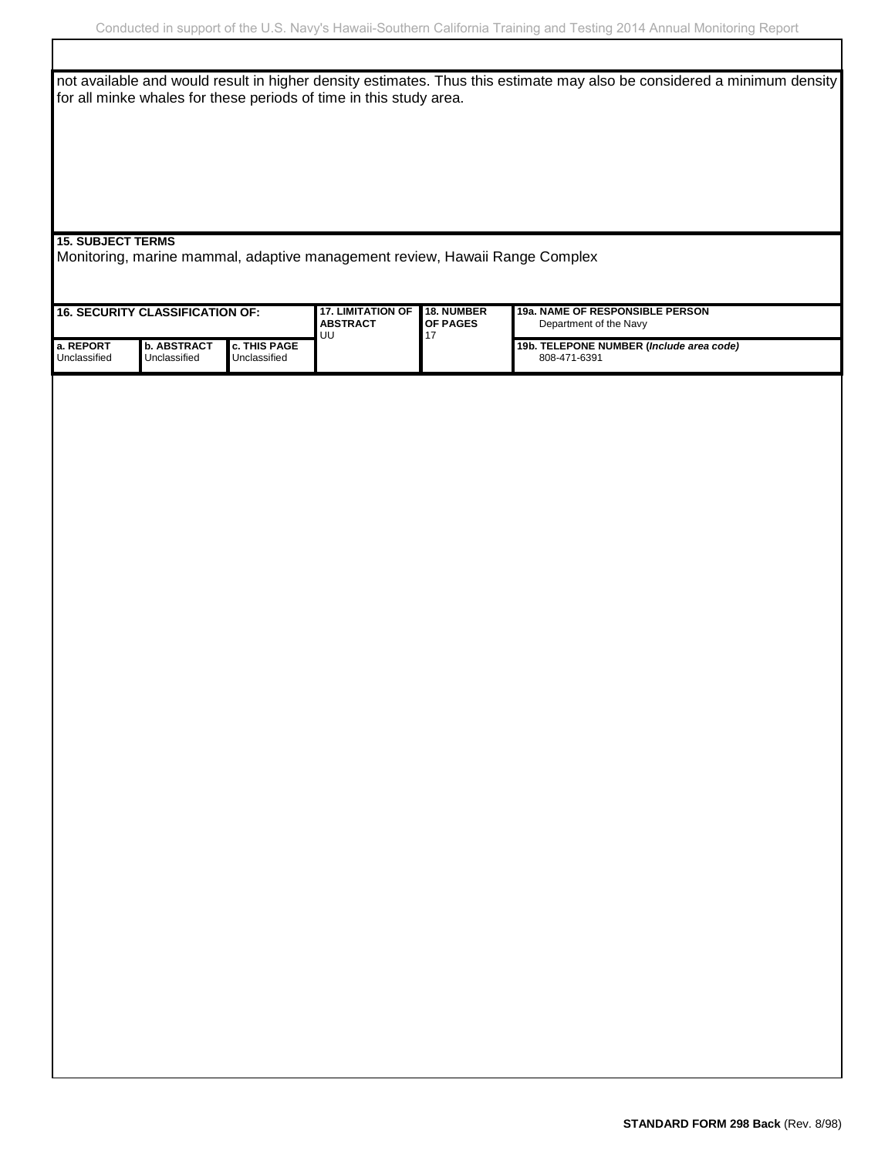INSTRUCTIONS FOR COMPLETING SF 298 not available and would result in higher density estimates. Thus this estimate may also be considered a minimum density for all minke whales for these periods of time in this study area.

**15. SUBJECT TERMS**

Monitoring, marine mammal, adaptive management review, Hawaii Range Complex

| $\,$ 16. SECURITY CLASSIFICATION OF: |                                      | <b>17. LIMITATION OF</b><br><b>I ABSTRACT</b><br><b>UU</b> | <b>18. NUMBER</b><br><b>I</b> OF PAGES | <b>19a. NAME OF RESPONSIBLE PERSON</b><br>Department of the Navy |                                                          |
|--------------------------------------|--------------------------------------|------------------------------------------------------------|----------------------------------------|------------------------------------------------------------------|----------------------------------------------------------|
| l a. REPORT<br>Unclassified          | <b>I</b> b. ABSTRACT<br>Unclassified | <b>I</b> c. THIS PAGE<br>Unclassified                      |                                        |                                                                  | 19b. TELEPONE NUMBER (Include area code)<br>808-471-6391 |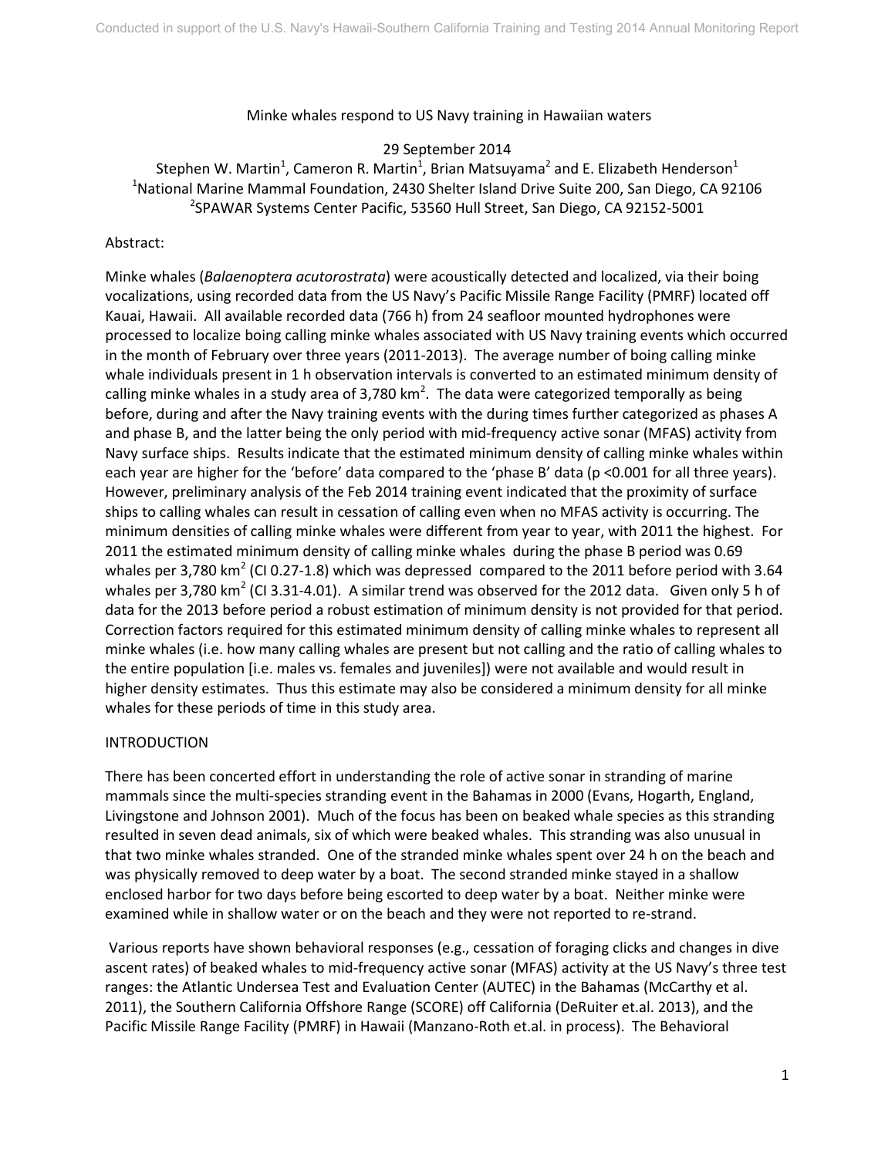#### Minke whales respond to US Navy training in Hawaiian waters

29 September 2014

Stephen W. Martin<sup>1</sup>, Cameron R. Martin<sup>1</sup>, Brian Matsuyama<sup>2</sup> and E. Elizabeth Henderson<sup>1</sup> <sup>1</sup>National Marine Mammal Foundation, 2430 Shelter Island Drive Suite 200, San Diego, CA 92106 <sup>2</sup>SPAWAR Systems Center Pacific, 53560 Hull Street, San Diego, CA 92152-5001

## Abstract:

Minke whales (*Balaenoptera acutorostrata*) were acoustically detected and localized, via their boing vocalizations, using recorded data from the US Navy's Pacific Missile Range Facility (PMRF) located off Kauai, Hawaii. All available recorded data (766 h) from 24 seafloor mounted hydrophones were processed to localize boing calling minke whales associated with US Navy training events which occurred in the month of February over three years (2011-2013). The average number of boing calling minke whale individuals present in 1 h observation intervals is converted to an estimated minimum density of calling minke whales in a study area of 3,780 km<sup>2</sup>. The data were categorized temporally as being before, during and after the Navy training events with the during times further categorized as phases A and phase B, and the latter being the only period with mid-frequency active sonar (MFAS) activity from Navy surface ships. Results indicate that the estimated minimum density of calling minke whales within each year are higher for the 'before' data compared to the 'phase B' data (p <0.001 for all three years). However, preliminary analysis of the Feb 2014 training event indicated that the proximity of surface ships to calling whales can result in cessation of calling even when no MFAS activity is occurring. The minimum densities of calling minke whales were different from year to year, with 2011 the highest. For 2011 the estimated minimum density of calling minke whales during the phase B period was 0.69 whales per 3,780 km<sup>2</sup> (CI 0.27-1.8) which was depressed compared to the 2011 before period with 3.64 whales per 3,780 km<sup>2</sup> (CI 3.31-4.01). A similar trend was observed for the 2012 data. Given only 5 h of data for the 2013 before period a robust estimation of minimum density is not provided for that period. Correction factors required for this estimated minimum density of calling minke whales to represent all minke whales (i.e. how many calling whales are present but not calling and the ratio of calling whales to the entire population [i.e. males vs. females and juveniles]) were not available and would result in higher density estimates. Thus this estimate may also be considered a minimum density for all minke whales for these periods of time in this study area.

## INTRODUCTION

There has been concerted effort in understanding the role of active sonar in stranding of marine mammals since the multi-species stranding event in the Bahamas in 2000 (Evans, Hogarth, England, Livingstone and Johnson 2001). Much of the focus has been on beaked whale species as this stranding resulted in seven dead animals, six of which were beaked whales. This stranding was also unusual in that two minke whales stranded. One of the stranded minke whales spent over 24 h on the beach and was physically removed to deep water by a boat. The second stranded minke stayed in a shallow enclosed harbor for two days before being escorted to deep water by a boat. Neither minke were examined while in shallow water or on the beach and they were not reported to re-strand.

Various reports have shown behavioral responses (e.g., cessation of foraging clicks and changes in dive ascent rates) of beaked whales to mid-frequency active sonar (MFAS) activity at the US Navy's three test ranges: the Atlantic Undersea Test and Evaluation Center (AUTEC) in the Bahamas (McCarthy et al. 2011), the Southern California Offshore Range (SCORE) off California (DeRuiter et.al. 2013), and the Pacific Missile Range Facility (PMRF) in Hawaii (Manzano-Roth et.al. in process). The Behavioral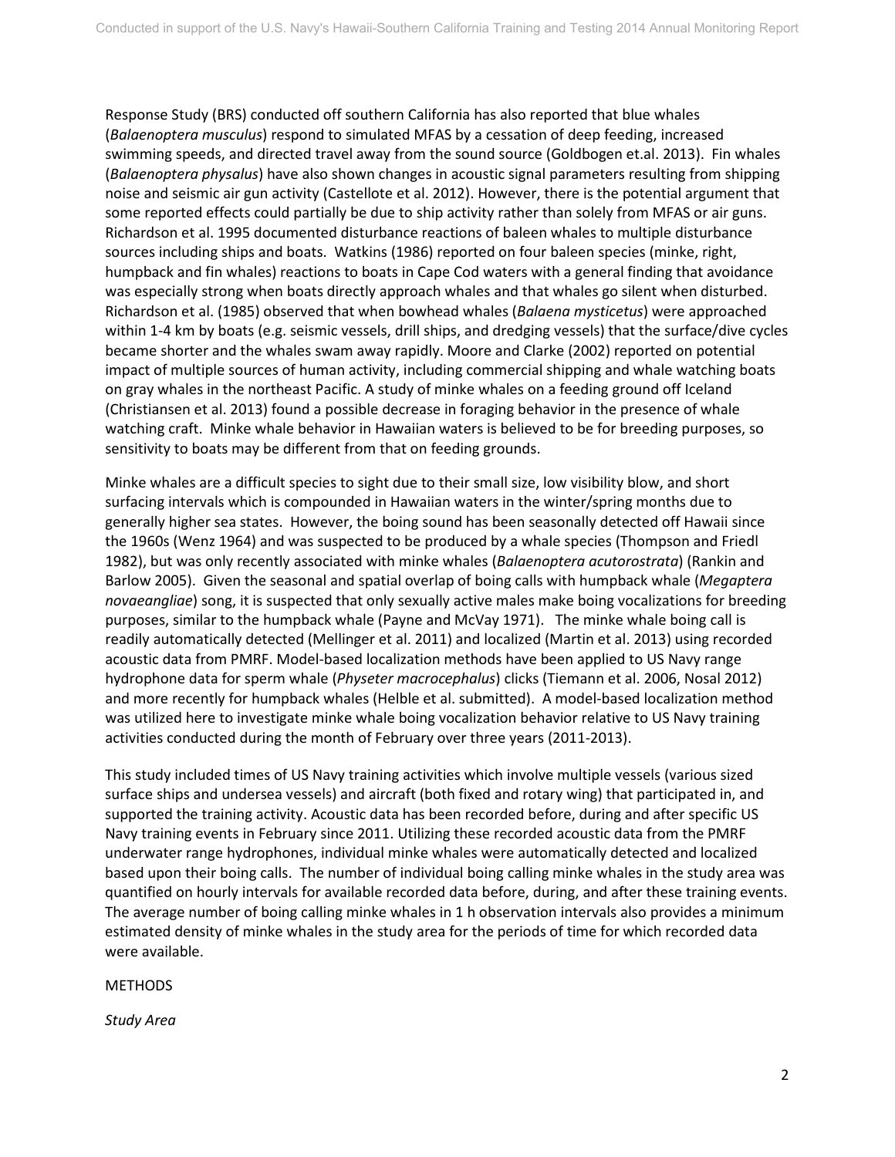Response Study (BRS) conducted off southern California has also reported that blue whales (*Balaenoptera musculus*) respond to simulated MFAS by a cessation of deep feeding, increased swimming speeds, and directed travel away from the sound source (Goldbogen et.al. 2013). Fin whales (*Balaenoptera physalus*) have also shown changes in acoustic signal parameters resulting from shipping noise and seismic air gun activity (Castellote et al. 2012). However, there is the potential argument that some reported effects could partially be due to ship activity rather than solely from MFAS or air guns. Richardson et al. 1995 documented disturbance reactions of baleen whales to multiple disturbance sources including ships and boats. Watkins (1986) reported on four baleen species (minke, right, humpback and fin whales) reactions to boats in Cape Cod waters with a general finding that avoidance was especially strong when boats directly approach whales and that whales go silent when disturbed. Richardson et al. (1985) observed that when bowhead whales (*Balaena mysticetus*) were approached within 1-4 km by boats (e.g. seismic vessels, drill ships, and dredging vessels) that the surface/dive cycles became shorter and the whales swam away rapidly. Moore and Clarke (2002) reported on potential impact of multiple sources of human activity, including commercial shipping and whale watching boats on gray whales in the northeast Pacific. A study of minke whales on a feeding ground off Iceland (Christiansen et al. 2013) found a possible decrease in foraging behavior in the presence of whale watching craft. Minke whale behavior in Hawaiian waters is believed to be for breeding purposes, so sensitivity to boats may be different from that on feeding grounds.

Minke whales are a difficult species to sight due to their small size, low visibility blow, and short surfacing intervals which is compounded in Hawaiian waters in the winter/spring months due to generally higher sea states. However, the boing sound has been seasonally detected off Hawaii since the 1960s (Wenz 1964) and was suspected to be produced by a whale species (Thompson and Friedl 1982), but was only recently associated with minke whales (*Balaenoptera acutorostrata*) (Rankin and Barlow 2005). Given the seasonal and spatial overlap of boing calls with humpback whale (*Megaptera novaeangliae*) song, it is suspected that only sexually active males make boing vocalizations for breeding purposes, similar to the humpback whale (Payne and McVay 1971). The minke whale boing call is readily automatically detected (Mellinger et al. 2011) and localized (Martin et al. 2013) using recorded acoustic data from PMRF. Model-based localization methods have been applied to US Navy range hydrophone data for sperm whale (*Physeter macrocephalus*) clicks (Tiemann et al. 2006, Nosal 2012) and more recently for humpback whales (Helble et al. submitted). A model-based localization method was utilized here to investigate minke whale boing vocalization behavior relative to US Navy training activities conducted during the month of February over three years (2011-2013).

This study included times of US Navy training activities which involve multiple vessels (various sized surface ships and undersea vessels) and aircraft (both fixed and rotary wing) that participated in, and supported the training activity. Acoustic data has been recorded before, during and after specific US Navy training events in February since 2011. Utilizing these recorded acoustic data from the PMRF underwater range hydrophones, individual minke whales were automatically detected and localized based upon their boing calls. The number of individual boing calling minke whales in the study area was quantified on hourly intervals for available recorded data before, during, and after these training events. The average number of boing calling minke whales in 1 h observation intervals also provides a minimum estimated density of minke whales in the study area for the periods of time for which recorded data were available.

## **METHODS**

*Study Area*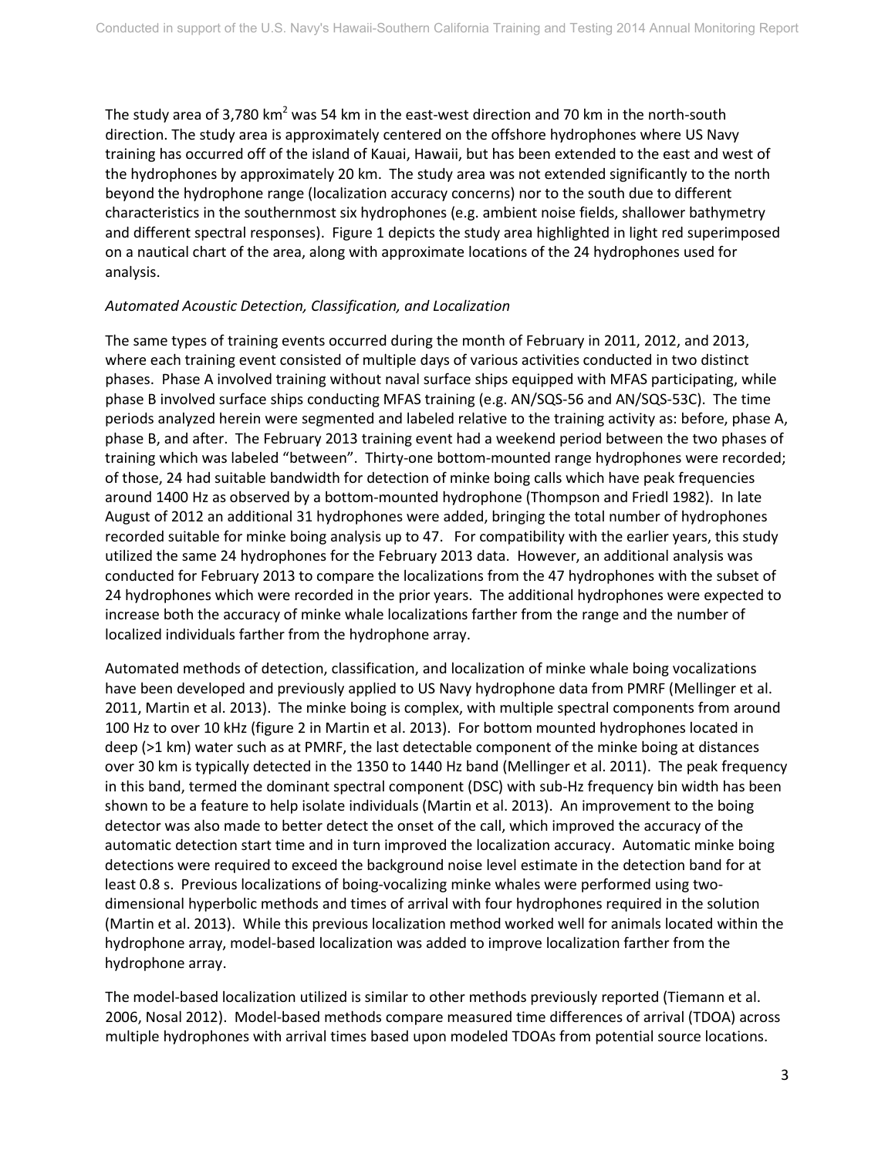The study area of 3,780 km<sup>2</sup> was 54 km in the east-west direction and 70 km in the north-south direction. The study area is approximately centered on the offshore hydrophones where US Navy training has occurred off of the island of Kauai, Hawaii, but has been extended to the east and west of the hydrophones by approximately 20 km. The study area was not extended significantly to the north beyond the hydrophone range (localization accuracy concerns) nor to the south due to different characteristics in the southernmost six hydrophones (e.g. ambient noise fields, shallower bathymetry and different spectral responses). Figure 1 depicts the study area highlighted in light red superimposed on a nautical chart of the area, along with approximate locations of the 24 hydrophones used for analysis.

## *Automated Acoustic Detection, Classification, and Localization*

The same types of training events occurred during the month of February in 2011, 2012, and 2013, where each training event consisted of multiple days of various activities conducted in two distinct phases. Phase A involved training without naval surface ships equipped with MFAS participating, while phase B involved surface ships conducting MFAS training (e.g. AN/SQS-56 and AN/SQS-53C). The time periods analyzed herein were segmented and labeled relative to the training activity as: before, phase A, phase B, and after. The February 2013 training event had a weekend period between the two phases of training which was labeled "between". Thirty-one bottom-mounted range hydrophones were recorded; of those, 24 had suitable bandwidth for detection of minke boing calls which have peak frequencies around 1400 Hz as observed by a bottom-mounted hydrophone (Thompson and Friedl 1982). In late August of 2012 an additional 31 hydrophones were added, bringing the total number of hydrophones recorded suitable for minke boing analysis up to 47. For compatibility with the earlier years, this study utilized the same 24 hydrophones for the February 2013 data. However, an additional analysis was conducted for February 2013 to compare the localizations from the 47 hydrophones with the subset of 24 hydrophones which were recorded in the prior years. The additional hydrophones were expected to increase both the accuracy of minke whale localizations farther from the range and the number of localized individuals farther from the hydrophone array.

Automated methods of detection, classification, and localization of minke whale boing vocalizations have been developed and previously applied to US Navy hydrophone data from PMRF (Mellinger et al. 2011, Martin et al. 2013). The minke boing is complex, with multiple spectral components from around 100 Hz to over 10 kHz (figure 2 in Martin et al. 2013). For bottom mounted hydrophones located in deep (>1 km) water such as at PMRF, the last detectable component of the minke boing at distances over 30 km is typically detected in the 1350 to 1440 Hz band (Mellinger et al. 2011). The peak frequency in this band, termed the dominant spectral component (DSC) with sub-Hz frequency bin width has been shown to be a feature to help isolate individuals (Martin et al. 2013). An improvement to the boing detector was also made to better detect the onset of the call, which improved the accuracy of the automatic detection start time and in turn improved the localization accuracy. Automatic minke boing detections were required to exceed the background noise level estimate in the detection band for at least 0.8 s. Previous localizations of boing-vocalizing minke whales were performed using twodimensional hyperbolic methods and times of arrival with four hydrophones required in the solution (Martin et al. 2013). While this previous localization method worked well for animals located within the hydrophone array, model-based localization was added to improve localization farther from the hydrophone array.

The model-based localization utilized is similar to other methods previously reported (Tiemann et al. 2006, Nosal 2012). Model-based methods compare measured time differences of arrival (TDOA) across multiple hydrophones with arrival times based upon modeled TDOAs from potential source locations.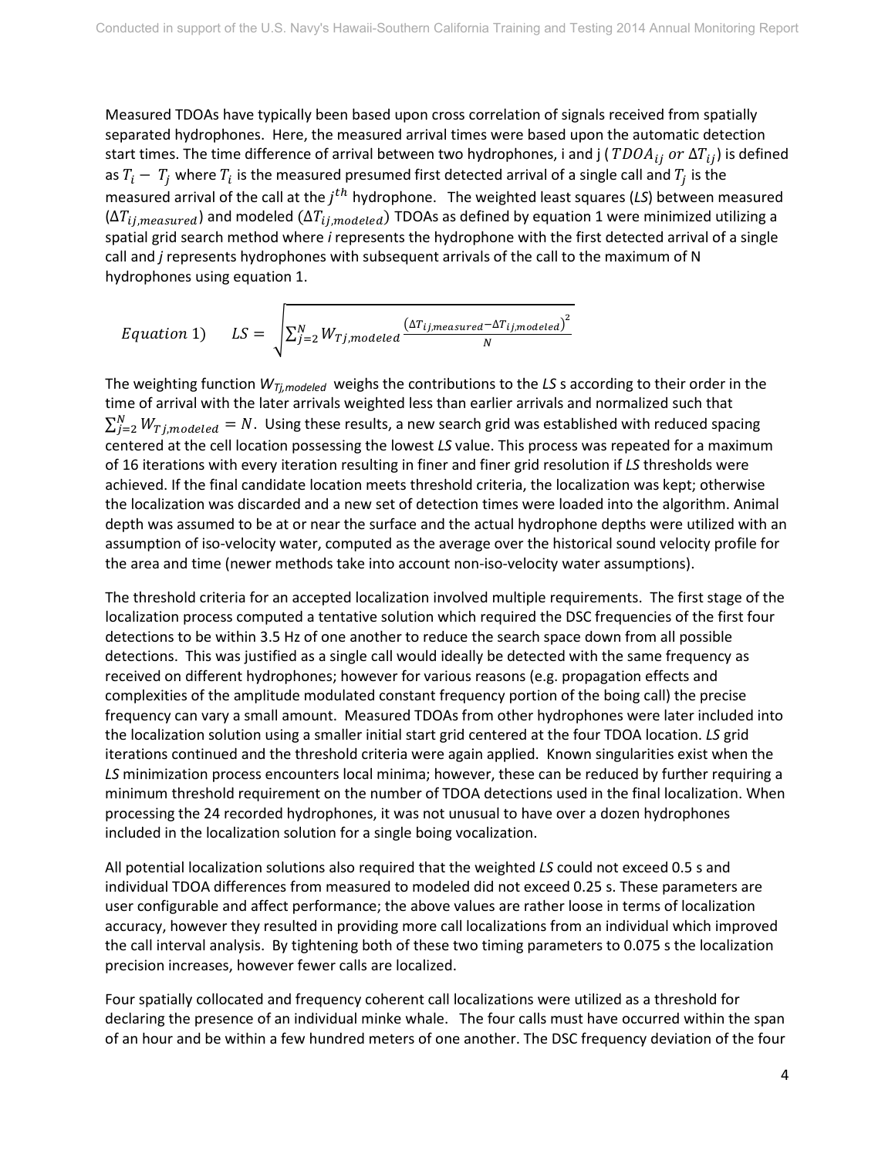Measured TDOAs have typically been based upon cross correlation of signals received from spatially separated hydrophones. Here, the measured arrival times were based upon the automatic detection start times. The time difference of arrival between two hydrophones, i and j (  $TDOA_{ij}$  or  $\Delta T_{ij}$ ) is defined as  $T_i - T_i$  where  $T_i$  is the measured presumed first detected arrival of a single call and  $T_i$  is the measured arrival of the call at the  $j<sup>th</sup>$  hydrophone. The weighted least squares (LS) between measured  $(\Delta T_{ij, measured})$  and modeled  $(\Delta T_{ij, modeled})$  TDOAs as defined by equation 1 were minimized utilizing a spatial grid search method where *i* represents the hydrophone with the first detected arrival of a single call and *j* represents hydrophones with subsequent arrivals of the call to the maximum of N hydrophones using equation 1.

$$
Equation 1) \qquad LS = \sqrt{\sum_{j=2}^{N} W_{Tj, modeled} \frac{(\Delta T_{ij,measured} - \Delta T_{ij,modeled})^2}{N}}
$$

The weighting function *WTj,modeled* weighs the contributions to the *LS* s according to their order in the time of arrival with the later arrivals weighted less than earlier arrivals and normalized such that  $\sum_{j=2}^N W_{Tj, modeled}=N.$  Using these results, a new search grid was established with reduced spacing centered at the cell location possessing the lowest *LS* value. This process was repeated for a maximum of 16 iterations with every iteration resulting in finer and finer grid resolution if *LS* thresholds were achieved. If the final candidate location meets threshold criteria, the localization was kept; otherwise the localization was discarded and a new set of detection times were loaded into the algorithm. Animal depth was assumed to be at or near the surface and the actual hydrophone depths were utilized with an assumption of iso-velocity water, computed as the average over the historical sound velocity profile for the area and time (newer methods take into account non-iso-velocity water assumptions).

The threshold criteria for an accepted localization involved multiple requirements. The first stage of the localization process computed a tentative solution which required the DSC frequencies of the first four detections to be within 3.5 Hz of one another to reduce the search space down from all possible detections. This was justified as a single call would ideally be detected with the same frequency as received on different hydrophones; however for various reasons (e.g. propagation effects and complexities of the amplitude modulated constant frequency portion of the boing call) the precise frequency can vary a small amount. Measured TDOAs from other hydrophones were later included into the localization solution using a smaller initial start grid centered at the four TDOA location. *LS* grid iterations continued and the threshold criteria were again applied. Known singularities exist when the *LS* minimization process encounters local minima; however, these can be reduced by further requiring a minimum threshold requirement on the number of TDOA detections used in the final localization. When processing the 24 recorded hydrophones, it was not unusual to have over a dozen hydrophones included in the localization solution for a single boing vocalization.

All potential localization solutions also required that the weighted *LS* could not exceed 0.5 s and individual TDOA differences from measured to modeled did not exceed 0.25 s. These parameters are user configurable and affect performance; the above values are rather loose in terms of localization accuracy, however they resulted in providing more call localizations from an individual which improved the call interval analysis. By tightening both of these two timing parameters to 0.075 s the localization precision increases, however fewer calls are localized.

Four spatially collocated and frequency coherent call localizations were utilized as a threshold for declaring the presence of an individual minke whale. The four calls must have occurred within the span of an hour and be within a few hundred meters of one another. The DSC frequency deviation of the four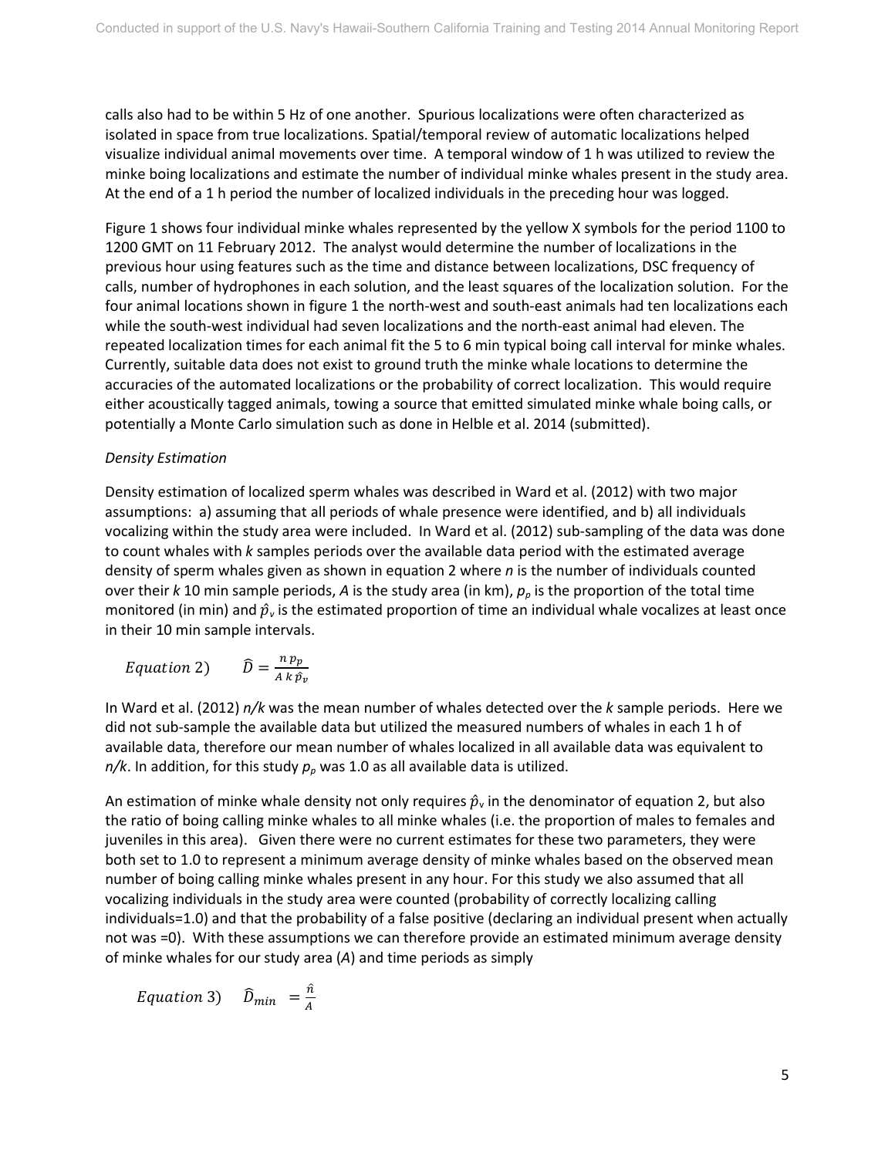calls also had to be within 5 Hz of one another. Spurious localizations were often characterized as isolated in space from true localizations. Spatial/temporal review of automatic localizations helped visualize individual animal movements over time. A temporal window of 1 h was utilized to review the minke boing localizations and estimate the number of individual minke whales present in the study area. At the end of a 1 h period the number of localized individuals in the preceding hour was logged.

Figure 1 shows four individual minke whales represented by the yellow X symbols for the period 1100 to 1200 GMT on 11 February 2012. The analyst would determine the number of localizations in the previous hour using features such as the time and distance between localizations, DSC frequency of calls, number of hydrophones in each solution, and the least squares of the localization solution. For the four animal locations shown in figure 1 the north-west and south-east animals had ten localizations each while the south-west individual had seven localizations and the north-east animal had eleven. The repeated localization times for each animal fit the 5 to 6 min typical boing call interval for minke whales. Currently, suitable data does not exist to ground truth the minke whale locations to determine the accuracies of the automated localizations or the probability of correct localization. This would require either acoustically tagged animals, towing a source that emitted simulated minke whale boing calls, or potentially a Monte Carlo simulation such as done in Helble et al. 2014 (submitted).

# *Density Estimation*

Density estimation of localized sperm whales was described in Ward et al. (2012) with two major assumptions: a) assuming that all periods of whale presence were identified, and b) all individuals vocalizing within the study area were included. In Ward et al. (2012) sub-sampling of the data was done to count whales with *k* samples periods over the available data period with the estimated average density of sperm whales given as shown in equation 2 where *n* is the number of individuals counted over their *k* 10 min sample periods, *A* is the study area (in km), *pp* is the proportion of the total time monitored (in min) and  $\hat{p}_v$  is the estimated proportion of time an individual whale vocalizes at least once in their 10 min sample intervals.

$$
Equation 2) \qquad \widehat{D} = \frac{n p_p}{A k \hat{p}_v}
$$

In Ward et al. (2012) *n/k* was the mean number of whales detected over the *k* sample periods. Here we did not sub-sample the available data but utilized the measured numbers of whales in each 1 h of available data, therefore our mean number of whales localized in all available data was equivalent to  $n/k$ . In addition, for this study  $p_p$  was 1.0 as all available data is utilized.

An estimation of minke whale density not only requires  $\hat{p}_{\text{v}}$  in the denominator of equation 2, but also the ratio of boing calling minke whales to all minke whales (i.e. the proportion of males to females and juveniles in this area). Given there were no current estimates for these two parameters, they were both set to 1.0 to represent a minimum average density of minke whales based on the observed mean number of boing calling minke whales present in any hour. For this study we also assumed that all vocalizing individuals in the study area were counted (probability of correctly localizing calling individuals=1.0) and that the probability of a false positive (declaring an individual present when actually not was =0). With these assumptions we can therefore provide an estimated minimum average density of minke whales for our study area (*A*) and time periods as simply

*Equation* 3)  $\widehat{D}_{min} = \frac{n}{A}$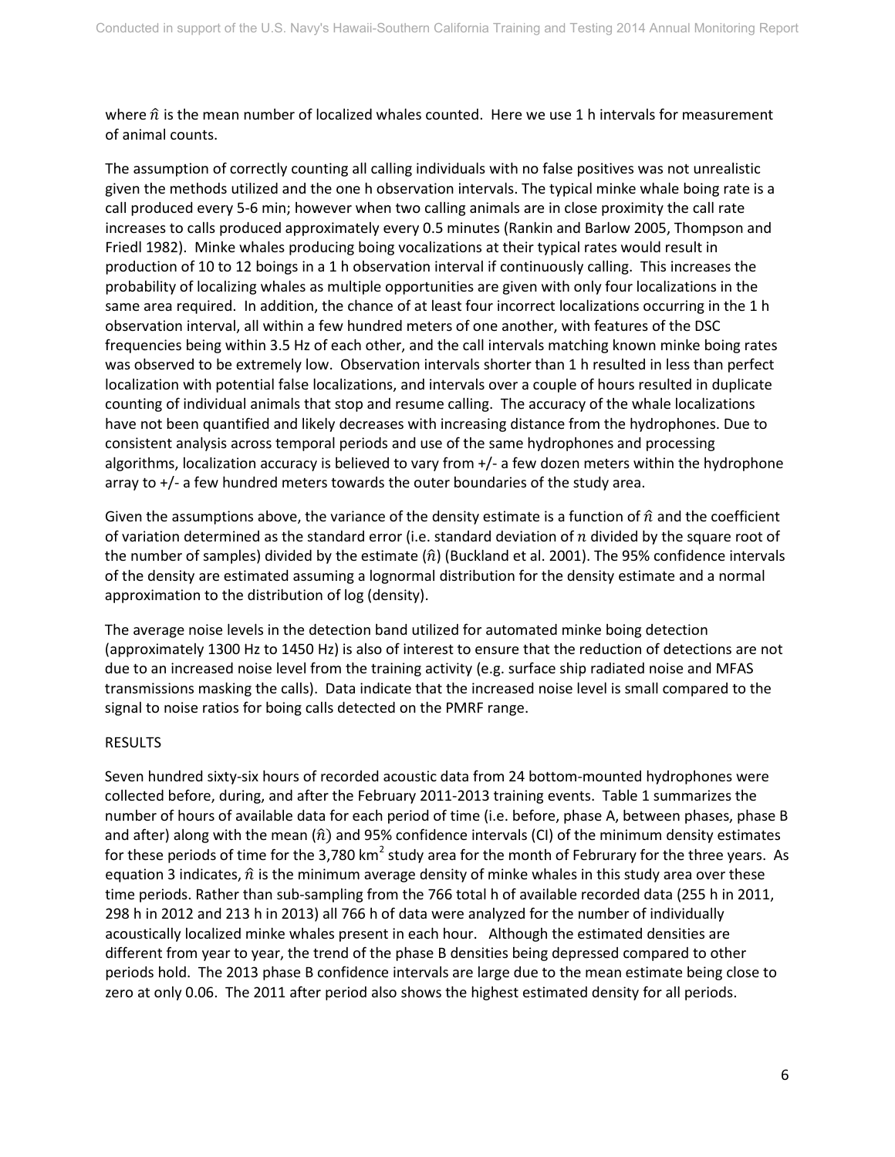where  $\hat{n}$  is the mean number of localized whales counted. Here we use 1 h intervals for measurement of animal counts.

The assumption of correctly counting all calling individuals with no false positives was not unrealistic given the methods utilized and the one h observation intervals. The typical minke whale boing rate is a call produced every 5-6 min; however when two calling animals are in close proximity the call rate increases to calls produced approximately every 0.5 minutes (Rankin and Barlow 2005, Thompson and Friedl 1982). Minke whales producing boing vocalizations at their typical rates would result in production of 10 to 12 boings in a 1 h observation interval if continuously calling. This increases the probability of localizing whales as multiple opportunities are given with only four localizations in the same area required. In addition, the chance of at least four incorrect localizations occurring in the 1 h observation interval, all within a few hundred meters of one another, with features of the DSC frequencies being within 3.5 Hz of each other, and the call intervals matching known minke boing rates was observed to be extremely low. Observation intervals shorter than 1 h resulted in less than perfect localization with potential false localizations, and intervals over a couple of hours resulted in duplicate counting of individual animals that stop and resume calling. The accuracy of the whale localizations have not been quantified and likely decreases with increasing distance from the hydrophones. Due to consistent analysis across temporal periods and use of the same hydrophones and processing algorithms, localization accuracy is believed to vary from +/- a few dozen meters within the hydrophone array to +/- a few hundred meters towards the outer boundaries of the study area.

Given the assumptions above, the variance of the density estimate is a function of  $\hat{n}$  and the coefficient of variation determined as the standard error (i.e. standard deviation of  $n$  divided by the square root of the number of samples) divided by the estimate  $(\hat{n})$  (Buckland et al. 2001). The 95% confidence intervals of the density are estimated assuming a lognormal distribution for the density estimate and a normal approximation to the distribution of log (density).

The average noise levels in the detection band utilized for automated minke boing detection (approximately 1300 Hz to 1450 Hz) is also of interest to ensure that the reduction of detections are not due to an increased noise level from the training activity (e.g. surface ship radiated noise and MFAS transmissions masking the calls). Data indicate that the increased noise level is small compared to the signal to noise ratios for boing calls detected on the PMRF range.

#### RESULTS

Seven hundred sixty-six hours of recorded acoustic data from 24 bottom-mounted hydrophones were collected before, during, and after the February 2011-2013 training events. Table 1 summarizes the number of hours of available data for each period of time (i.e. before, phase A, between phases, phase B and after) along with the mean  $(\hat{n})$  and 95% confidence intervals (CI) of the minimum density estimates for these periods of time for the 3,780 km<sup>2</sup> study area for the month of Februrary for the three years. As equation 3 indicates,  $\hat{n}$  is the minimum average density of minke whales in this study area over these time periods. Rather than sub-sampling from the 766 total h of available recorded data (255 h in 2011, 298 h in 2012 and 213 h in 2013) all 766 h of data were analyzed for the number of individually acoustically localized minke whales present in each hour. Although the estimated densities are different from year to year, the trend of the phase B densities being depressed compared to other periods hold. The 2013 phase B confidence intervals are large due to the mean estimate being close to zero at only 0.06. The 2011 after period also shows the highest estimated density for all periods.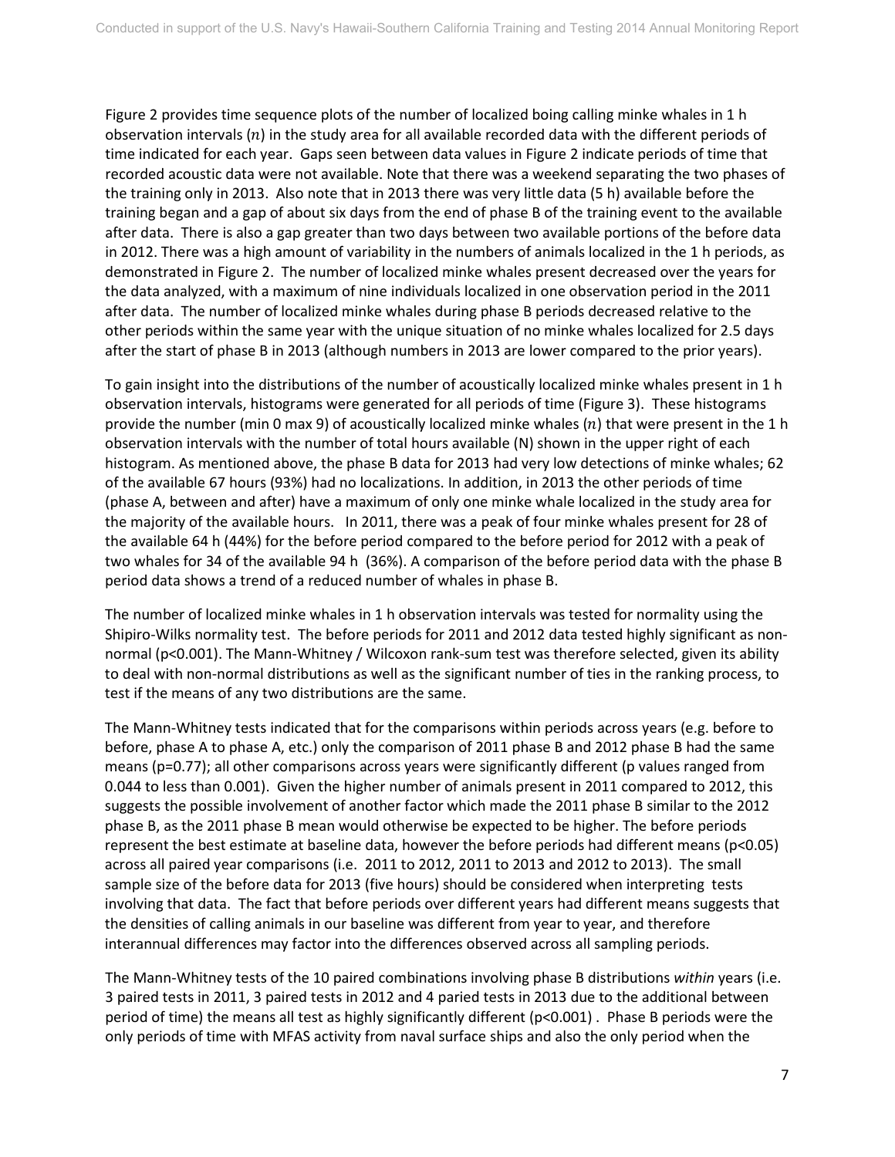Figure 2 provides time sequence plots of the number of localized boing calling minke whales in 1 h observation intervals  $(n)$  in the study area for all available recorded data with the different periods of time indicated for each year. Gaps seen between data values in Figure 2 indicate periods of time that recorded acoustic data were not available. Note that there was a weekend separating the two phases of the training only in 2013. Also note that in 2013 there was very little data (5 h) available before the training began and a gap of about six days from the end of phase B of the training event to the available after data. There is also a gap greater than two days between two available portions of the before data in 2012. There was a high amount of variability in the numbers of animals localized in the 1 h periods, as demonstrated in Figure 2. The number of localized minke whales present decreased over the years for the data analyzed, with a maximum of nine individuals localized in one observation period in the 2011 after data. The number of localized minke whales during phase B periods decreased relative to the other periods within the same year with the unique situation of no minke whales localized for 2.5 days after the start of phase B in 2013 (although numbers in 2013 are lower compared to the prior years).

To gain insight into the distributions of the number of acoustically localized minke whales present in 1 h observation intervals, histograms were generated for all periods of time (Figure 3). These histograms provide the number (min 0 max 9) of acoustically localized minke whales  $(n)$  that were present in the 1 h observation intervals with the number of total hours available (N) shown in the upper right of each histogram. As mentioned above, the phase B data for 2013 had very low detections of minke whales; 62 of the available 67 hours (93%) had no localizations. In addition, in 2013 the other periods of time (phase A, between and after) have a maximum of only one minke whale localized in the study area for the majority of the available hours. In 2011, there was a peak of four minke whales present for 28 of the available 64 h (44%) for the before period compared to the before period for 2012 with a peak of two whales for 34 of the available 94 h (36%). A comparison of the before period data with the phase B period data shows a trend of a reduced number of whales in phase B.

The number of localized minke whales in 1 h observation intervals was tested for normality using the Shipiro-Wilks normality test. The before periods for 2011 and 2012 data tested highly significant as nonnormal (p<0.001). The Mann-Whitney / Wilcoxon rank-sum test was therefore selected, given its ability to deal with non-normal distributions as well as the significant number of ties in the ranking process, to test if the means of any two distributions are the same.

The Mann-Whitney tests indicated that for the comparisons within periods across years (e.g. before to before, phase A to phase A, etc.) only the comparison of 2011 phase B and 2012 phase B had the same means (p=0.77); all other comparisons across years were significantly different (p values ranged from 0.044 to less than 0.001). Given the higher number of animals present in 2011 compared to 2012, this suggests the possible involvement of another factor which made the 2011 phase B similar to the 2012 phase B, as the 2011 phase B mean would otherwise be expected to be higher. The before periods represent the best estimate at baseline data, however the before periods had different means (p<0.05) across all paired year comparisons (i.e. 2011 to 2012, 2011 to 2013 and 2012 to 2013). The small sample size of the before data for 2013 (five hours) should be considered when interpreting tests involving that data. The fact that before periods over different years had different means suggests that the densities of calling animals in our baseline was different from year to year, and therefore interannual differences may factor into the differences observed across all sampling periods.

The Mann-Whitney tests of the 10 paired combinations involving phase B distributions *within* years (i.e. 3 paired tests in 2011, 3 paired tests in 2012 and 4 paried tests in 2013 due to the additional between period of time) the means all test as highly significantly different ( $p<0.001$ ). Phase B periods were the only periods of time with MFAS activity from naval surface ships and also the only period when the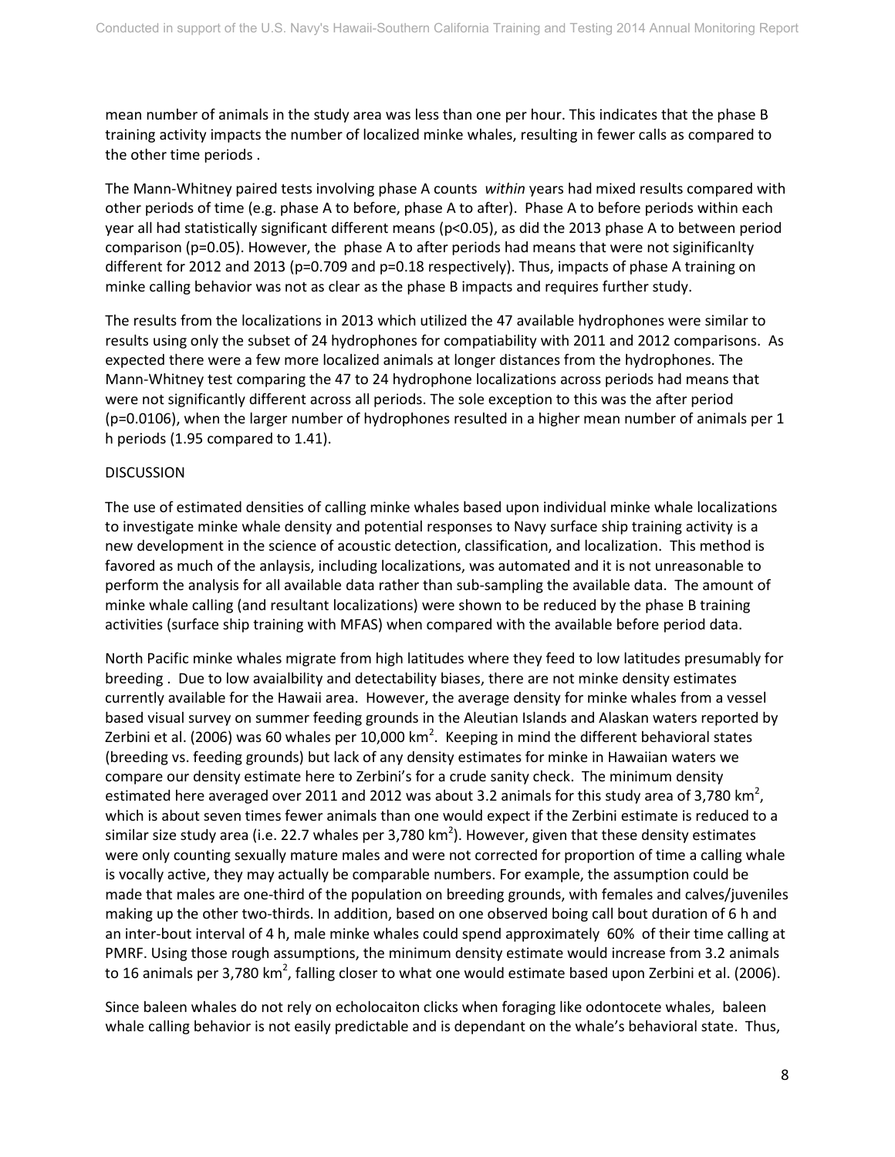mean number of animals in the study area was less than one per hour. This indicates that the phase B training activity impacts the number of localized minke whales, resulting in fewer calls as compared to the other time periods .

The Mann-Whitney paired tests involving phase A counts *within* years had mixed results compared with other periods of time (e.g. phase A to before, phase A to after). Phase A to before periods within each year all had statistically significant different means (p<0.05), as did the 2013 phase A to between period comparison (p=0.05). However, the phase A to after periods had means that were not siginificanlty different for 2012 and 2013 (p=0.709 and p=0.18 respectively). Thus, impacts of phase A training on minke calling behavior was not as clear as the phase B impacts and requires further study.

The results from the localizations in 2013 which utilized the 47 available hydrophones were similar to results using only the subset of 24 hydrophones for compatiability with 2011 and 2012 comparisons. As expected there were a few more localized animals at longer distances from the hydrophones. The Mann-Whitney test comparing the 47 to 24 hydrophone localizations across periods had means that were not significantly different across all periods. The sole exception to this was the after period (p=0.0106), when the larger number of hydrophones resulted in a higher mean number of animals per 1 h periods (1.95 compared to 1.41).

### DISCUSSION

The use of estimated densities of calling minke whales based upon individual minke whale localizations to investigate minke whale density and potential responses to Navy surface ship training activity is a new development in the science of acoustic detection, classification, and localization. This method is favored as much of the anlaysis, including localizations, was automated and it is not unreasonable to perform the analysis for all available data rather than sub-sampling the available data. The amount of minke whale calling (and resultant localizations) were shown to be reduced by the phase B training activities (surface ship training with MFAS) when compared with the available before period data.

North Pacific minke whales migrate from high latitudes where they feed to low latitudes presumably for breeding . Due to low avaialbility and detectability biases, there are not minke density estimates currently available for the Hawaii area. However, the average density for minke whales from a vessel based visual survey on summer feeding grounds in the Aleutian Islands and Alaskan waters reported by Zerbini et al. (2006) was 60 whales per 10,000 km<sup>2</sup>. Keeping in mind the different behavioral states (breeding vs. feeding grounds) but lack of any density estimates for minke in Hawaiian waters we compare our density estimate here to Zerbini's for a crude sanity check. The minimum density estimated here averaged over 2011 and 2012 was about 3.2 animals for this study area of 3,780 km<sup>2</sup>, which is about seven times fewer animals than one would expect if the Zerbini estimate is reduced to a similar size study area (i.e. 22.7 whales per 3,780 km<sup>2</sup>). However, given that these density estimates were only counting sexually mature males and were not corrected for proportion of time a calling whale is vocally active, they may actually be comparable numbers. For example, the assumption could be made that males are one-third of the population on breeding grounds, with females and calves/juveniles making up the other two-thirds. In addition, based on one observed boing call bout duration of 6 h and an inter-bout interval of 4 h, male minke whales could spend approximately 60% of their time calling at PMRF. Using those rough assumptions, the minimum density estimate would increase from 3.2 animals to 16 animals per 3,780 km<sup>2</sup>, falling closer to what one would estimate based upon Zerbini et al. (2006).

Since baleen whales do not rely on echolocaiton clicks when foraging like odontocete whales, baleen whale calling behavior is not easily predictable and is dependant on the whale's behavioral state. Thus,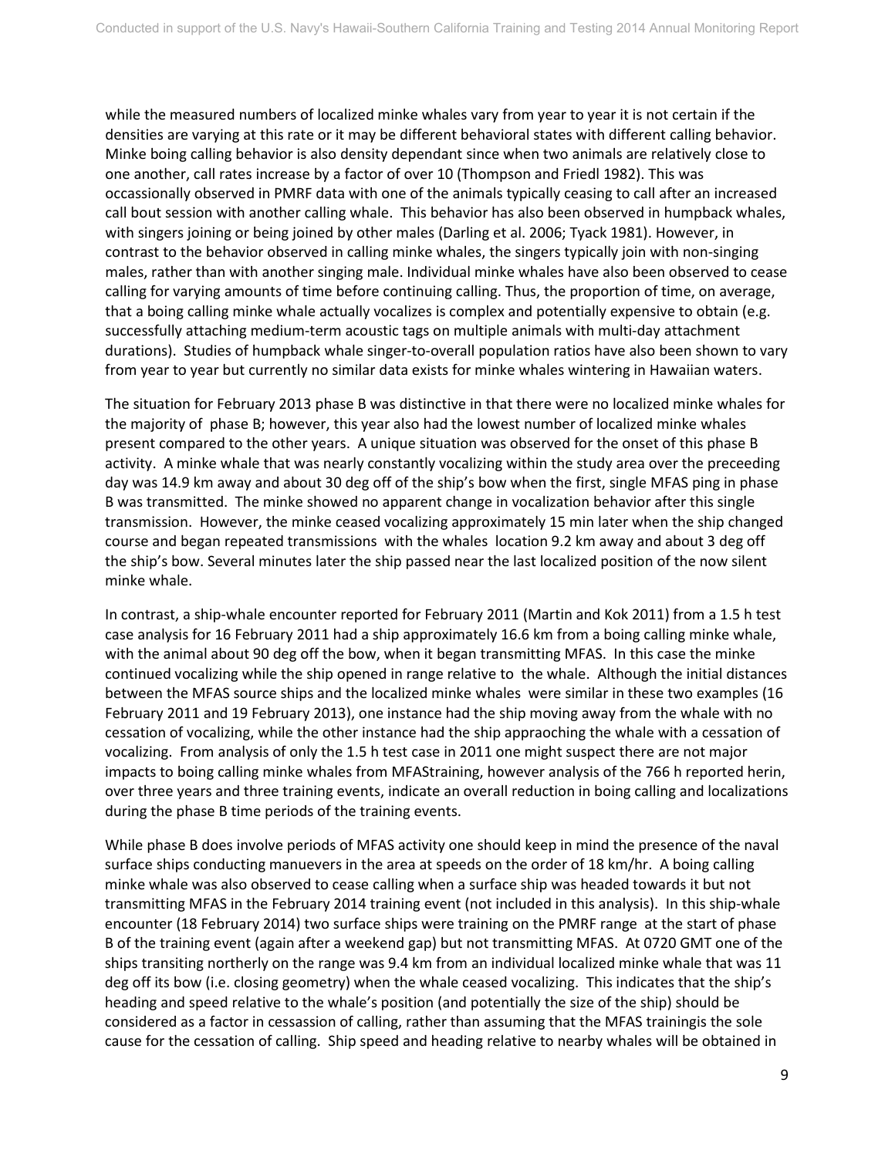while the measured numbers of localized minke whales vary from year to year it is not certain if the densities are varying at this rate or it may be different behavioral states with different calling behavior. Minke boing calling behavior is also density dependant since when two animals are relatively close to one another, call rates increase by a factor of over 10 (Thompson and Friedl 1982). This was occassionally observed in PMRF data with one of the animals typically ceasing to call after an increased call bout session with another calling whale. This behavior has also been observed in humpback whales, with singers joining or being joined by other males (Darling et al. 2006; Tyack 1981). However, in contrast to the behavior observed in calling minke whales, the singers typically join with non-singing males, rather than with another singing male. Individual minke whales have also been observed to cease calling for varying amounts of time before continuing calling. Thus, the proportion of time, on average, that a boing calling minke whale actually vocalizes is complex and potentially expensive to obtain (e.g. successfully attaching medium-term acoustic tags on multiple animals with multi-day attachment durations). Studies of humpback whale singer-to-overall population ratios have also been shown to vary from year to year but currently no similar data exists for minke whales wintering in Hawaiian waters.

The situation for February 2013 phase B was distinctive in that there were no localized minke whales for the majority of phase B; however, this year also had the lowest number of localized minke whales present compared to the other years. A unique situation was observed for the onset of this phase B activity. A minke whale that was nearly constantly vocalizing within the study area over the preceeding day was 14.9 km away and about 30 deg off of the ship's bow when the first, single MFAS ping in phase B was transmitted. The minke showed no apparent change in vocalization behavior after this single transmission. However, the minke ceased vocalizing approximately 15 min later when the ship changed course and began repeated transmissions with the whales location 9.2 km away and about 3 deg off the ship's bow. Several minutes later the ship passed near the last localized position of the now silent minke whale.

In contrast, a ship-whale encounter reported for February 2011 (Martin and Kok 2011) from a 1.5 h test case analysis for 16 February 2011 had a ship approximately 16.6 km from a boing calling minke whale, with the animal about 90 deg off the bow, when it began transmitting MFAS. In this case the minke continued vocalizing while the ship opened in range relative to the whale. Although the initial distances between the MFAS source ships and the localized minke whales were similar in these two examples (16 February 2011 and 19 February 2013), one instance had the ship moving away from the whale with no cessation of vocalizing, while the other instance had the ship appraoching the whale with a cessation of vocalizing. From analysis of only the 1.5 h test case in 2011 one might suspect there are not major impacts to boing calling minke whales from MFAStraining, however analysis of the 766 h reported herin, over three years and three training events, indicate an overall reduction in boing calling and localizations during the phase B time periods of the training events.

While phase B does involve periods of MFAS activity one should keep in mind the presence of the naval surface ships conducting manuevers in the area at speeds on the order of 18 km/hr. A boing calling minke whale was also observed to cease calling when a surface ship was headed towards it but not transmitting MFAS in the February 2014 training event (not included in this analysis). In this ship-whale encounter (18 February 2014) two surface ships were training on the PMRF range at the start of phase B of the training event (again after a weekend gap) but not transmitting MFAS. At 0720 GMT one of the ships transiting northerly on the range was 9.4 km from an individual localized minke whale that was 11 deg off its bow (i.e. closing geometry) when the whale ceased vocalizing. This indicates that the ship's heading and speed relative to the whale's position (and potentially the size of the ship) should be considered as a factor in cessassion of calling, rather than assuming that the MFAS trainingis the sole cause for the cessation of calling. Ship speed and heading relative to nearby whales will be obtained in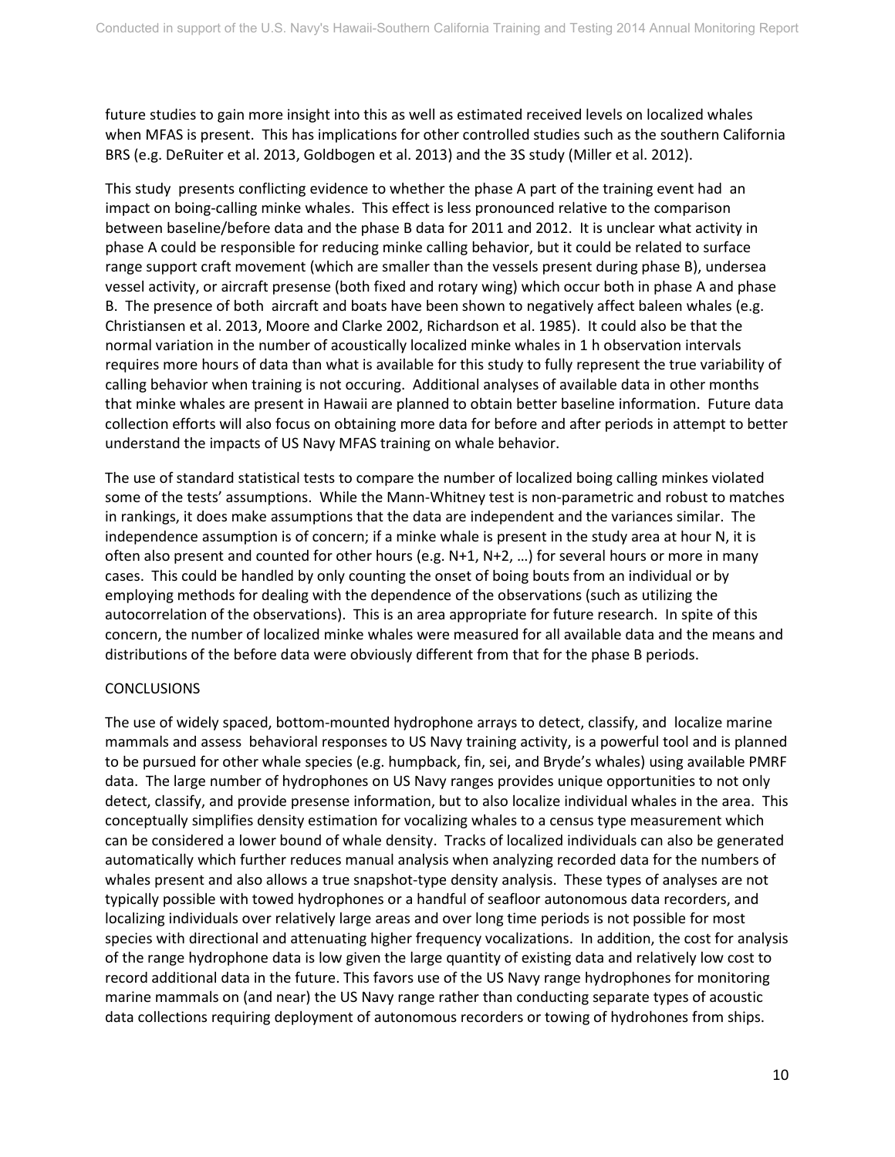future studies to gain more insight into this as well as estimated received levels on localized whales when MFAS is present. This has implications for other controlled studies such as the southern California BRS (e.g. DeRuiter et al. 2013, Goldbogen et al. 2013) and the 3S study (Miller et al. 2012).

This study presents conflicting evidence to whether the phase A part of the training event had an impact on boing-calling minke whales. This effect is less pronounced relative to the comparison between baseline/before data and the phase B data for 2011 and 2012. It is unclear what activity in phase A could be responsible for reducing minke calling behavior, but it could be related to surface range support craft movement (which are smaller than the vessels present during phase B), undersea vessel activity, or aircraft presense (both fixed and rotary wing) which occur both in phase A and phase B. The presence of both aircraft and boats have been shown to negatively affect baleen whales (e.g. Christiansen et al. 2013, Moore and Clarke 2002, Richardson et al. 1985). It could also be that the normal variation in the number of acoustically localized minke whales in 1 h observation intervals requires more hours of data than what is available for this study to fully represent the true variability of calling behavior when training is not occuring. Additional analyses of available data in other months that minke whales are present in Hawaii are planned to obtain better baseline information. Future data collection efforts will also focus on obtaining more data for before and after periods in attempt to better understand the impacts of US Navy MFAS training on whale behavior.

The use of standard statistical tests to compare the number of localized boing calling minkes violated some of the tests' assumptions. While the Mann-Whitney test is non-parametric and robust to matches in rankings, it does make assumptions that the data are independent and the variances similar. The independence assumption is of concern; if a minke whale is present in the study area at hour N, it is often also present and counted for other hours (e.g. N+1, N+2, …) for several hours or more in many cases. This could be handled by only counting the onset of boing bouts from an individual or by employing methods for dealing with the dependence of the observations (such as utilizing the autocorrelation of the observations). This is an area appropriate for future research. In spite of this concern, the number of localized minke whales were measured for all available data and the means and distributions of the before data were obviously different from that for the phase B periods.

## **CONCLUSIONS**

The use of widely spaced, bottom-mounted hydrophone arrays to detect, classify, and localize marine mammals and assess behavioral responses to US Navy training activity, is a powerful tool and is planned to be pursued for other whale species (e.g. humpback, fin, sei, and Bryde's whales) using available PMRF data. The large number of hydrophones on US Navy ranges provides unique opportunities to not only detect, classify, and provide presense information, but to also localize individual whales in the area. This conceptually simplifies density estimation for vocalizing whales to a census type measurement which can be considered a lower bound of whale density. Tracks of localized individuals can also be generated automatically which further reduces manual analysis when analyzing recorded data for the numbers of whales present and also allows a true snapshot-type density analysis. These types of analyses are not typically possible with towed hydrophones or a handful of seafloor autonomous data recorders, and localizing individuals over relatively large areas and over long time periods is not possible for most species with directional and attenuating higher frequency vocalizations. In addition, the cost for analysis of the range hydrophone data is low given the large quantity of existing data and relatively low cost to record additional data in the future. This favors use of the US Navy range hydrophones for monitoring marine mammals on (and near) the US Navy range rather than conducting separate types of acoustic data collections requiring deployment of autonomous recorders or towing of hydrohones from ships.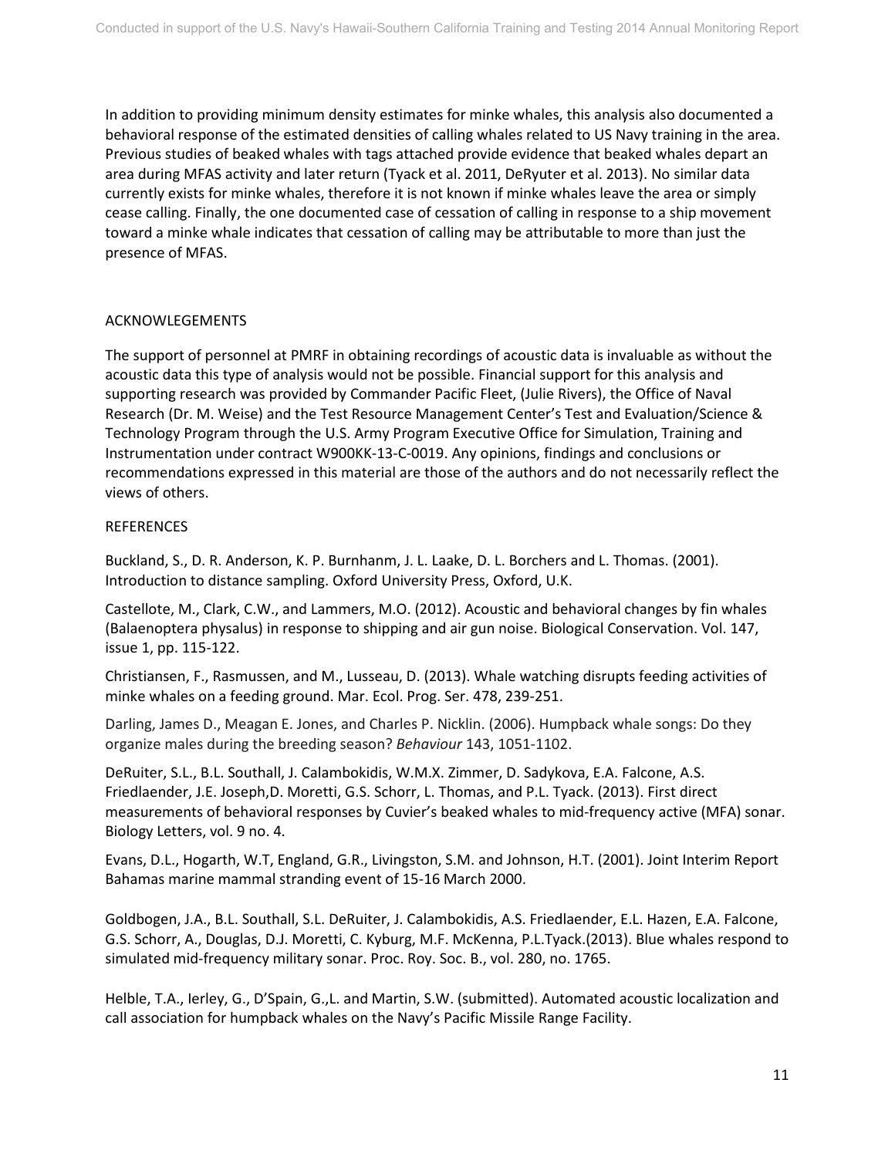In addition to providing minimum density estimates for minke whales, this analysis also documented a behavioral response of the estimated densities of calling whales related to US Navy training in the area. Previous studies of beaked whales with tags attached provide evidence that beaked whales depart an area during MFAS activity and later return (Tyack et al. 2011, DeRyuter et al. 2013). No similar data currently exists for minke whales, therefore it is not known if minke whales leave the area or simply cease calling. Finally, the one documented case of cessation of calling in response to a ship movement toward a minke whale indicates that cessation of calling may be attributable to more than just the presence of MFAS.

### ACKNOWLEGEMENTS

The support of personnel at PMRF in obtaining recordings of acoustic data is invaluable as without the acoustic data this type of analysis would not be possible. Financial support for this analysis and supporting research was provided by Commander Pacific Fleet, (Julie Rivers), the Office of Naval Research (Dr. M. Weise) and the Test Resource Management Center's Test and Evaluation/Science & Technology Program through the U.S. Army Program Executive Office for Simulation, Training and Instrumentation under contract W900KK-13-C-0019. Any opinions, findings and conclusions or recommendations expressed in this material are those of the authors and do not necessarily reflect the views of others.

#### **REFERENCES**

Buckland, S., D. R. Anderson, K. P. Burnhanm, J. L. Laake, D. L. Borchers and L. Thomas. (2001). Introduction to distance sampling. Oxford University Press, Oxford, U.K.

Castellote, M., Clark, C.W., and Lammers, M.O. (2012). Acoustic and behavioral changes by fin whales (Balaenoptera physalus) in response to shipping and air gun noise. Biological Conservation. Vol. 147, issue 1, pp. 115-122.

Christiansen, F., Rasmussen, and M., Lusseau, D. (2013). Whale watching disrupts feeding activities of minke whales on a feeding ground. Mar. Ecol. Prog. Ser. 478, 239-251.

Darling, James D., Meagan E. Jones, and Charles P. Nicklin. (2006). Humpback whale songs: Do they organize males during the breeding season? *Behaviour* 143, 1051-1102.

DeRuiter, S.L., B.L. Southall, J. Calambokidis, W.M.X. Zimmer, D. Sadykova, E.A. Falcone, A.S. Friedlaender, J.E. Joseph,D. Moretti, G.S. Schorr, L. Thomas, and P.L. Tyack. (2013). First direct measurements of behavioral responses by Cuvier's beaked whales to mid-frequency active (MFA) sonar. Biology Letters, vol. 9 no. 4.

Evans, D.L., Hogarth, W.T, England, G.R., Livingston, S.M. and Johnson, H.T. (2001). Joint Interim Report Bahamas marine mammal stranding event of 15-16 March 2000.

Goldbogen, J.A., B.L. Southall, S.L. DeRuiter, J. Calambokidis, A.S. Friedlaender, E.L. Hazen, E.A. Falcone, G.S. Schorr, A., Douglas, D.J. Moretti, C. Kyburg, M.F. McKenna, P.L.Tyack.(2013). Blue whales respond to simulated mid-frequency military sonar. Proc. Roy. Soc. B., vol. 280, no. 1765.

Helble, T.A., Ierley, G., D'Spain, G.,L. and Martin, S.W. (submitted). Automated acoustic localization and call association for humpback whales on the Navy's Pacific Missile Range Facility.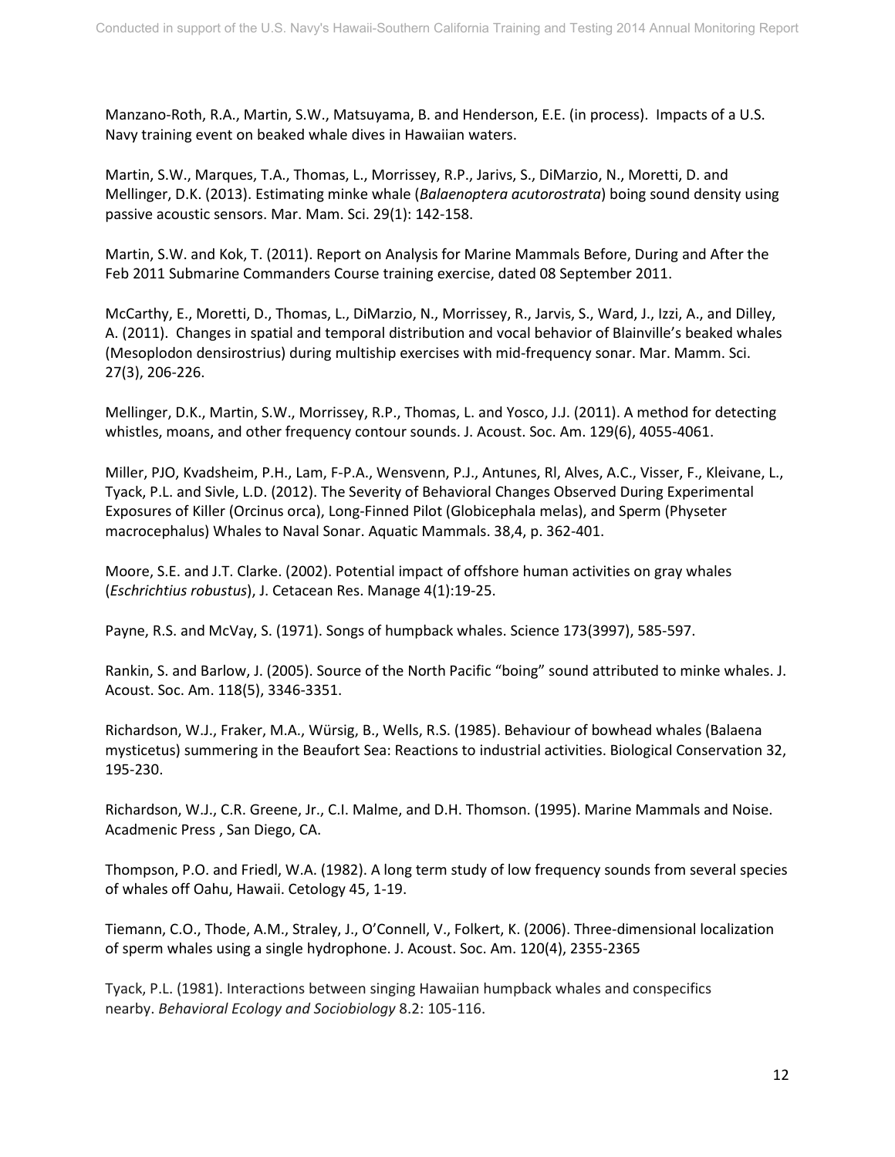Manzano-Roth, R.A., Martin, S.W., Matsuyama, B. and Henderson, E.E. (in process). Impacts of a U.S. Navy training event on beaked whale dives in Hawaiian waters.

Martin, S.W., Marques, T.A., Thomas, L., Morrissey, R.P., Jarivs, S., DiMarzio, N., Moretti, D. and Mellinger, D.K. (2013). Estimating minke whale (*Balaenoptera acutorostrata*) boing sound density using passive acoustic sensors. Mar. Mam. Sci. 29(1): 142-158.

Martin, S.W. and Kok, T. (2011). Report on Analysis for Marine Mammals Before, During and After the Feb 2011 Submarine Commanders Course training exercise, dated 08 September 2011.

McCarthy, E., Moretti, D., Thomas, L., DiMarzio, N., Morrissey, R., Jarvis, S., Ward, J., Izzi, A., and Dilley, A. (2011). Changes in spatial and temporal distribution and vocal behavior of Blainville's beaked whales (Mesoplodon densirostrius) during multiship exercises with mid-frequency sonar. Mar. Mamm. Sci. 27(3), 206-226.

Mellinger, D.K., Martin, S.W., Morrissey, R.P., Thomas, L. and Yosco, J.J. (2011). A method for detecting whistles, moans, and other frequency contour sounds. J. Acoust. Soc. Am. 129(6), 4055-4061.

Miller, PJO, Kvadsheim, P.H., Lam, F-P.A., Wensvenn, P.J., Antunes, Rl, Alves, A.C., Visser, F., Kleivane, L., Tyack, P.L. and Sivle, L.D. (2012). The Severity of Behavioral Changes Observed During Experimental Exposures of Killer (Orcinus orca), Long-Finned Pilot (Globicephala melas), and Sperm (Physeter macrocephalus) Whales to Naval Sonar. Aquatic Mammals. 38,4, p. 362-401.

Moore, S.E. and J.T. Clarke. (2002). Potential impact of offshore human activities on gray whales (*Eschrichtius robustus*), J. Cetacean Res. Manage 4(1):19-25.

Payne, R.S. and McVay, S. (1971). Songs of humpback whales. Science 173(3997), 585-597.

Rankin, S. and Barlow, J. (2005). Source of the North Pacific "boing" sound attributed to minke whales. J. Acoust. Soc. Am. 118(5), 3346-3351.

Richardson, W.J., Fraker, M.A., Würsig, B., Wells, R.S. (1985). Behaviour of bowhead whales (Balaena mysticetus) summering in the Beaufort Sea: Reactions to industrial activities. Biological Conservation 32, 195-230.

Richardson, W.J., C.R. Greene, Jr., C.I. Malme, and D.H. Thomson. (1995). Marine Mammals and Noise. Acadmenic Press , San Diego, CA.

Thompson, P.O. and Friedl, W.A. (1982). A long term study of low frequency sounds from several species of whales off Oahu, Hawaii. Cetology 45, 1-19.

Tiemann, C.O., Thode, A.M., Straley, J., O'Connell, V., Folkert, K. (2006). Three-dimensional localization of sperm whales using a single hydrophone. J. Acoust. Soc. Am. 120(4), 2355-2365

Tyack, P.L. (1981). Interactions between singing Hawaiian humpback whales and conspecifics nearby. *Behavioral Ecology and Sociobiology* 8.2: 105-116.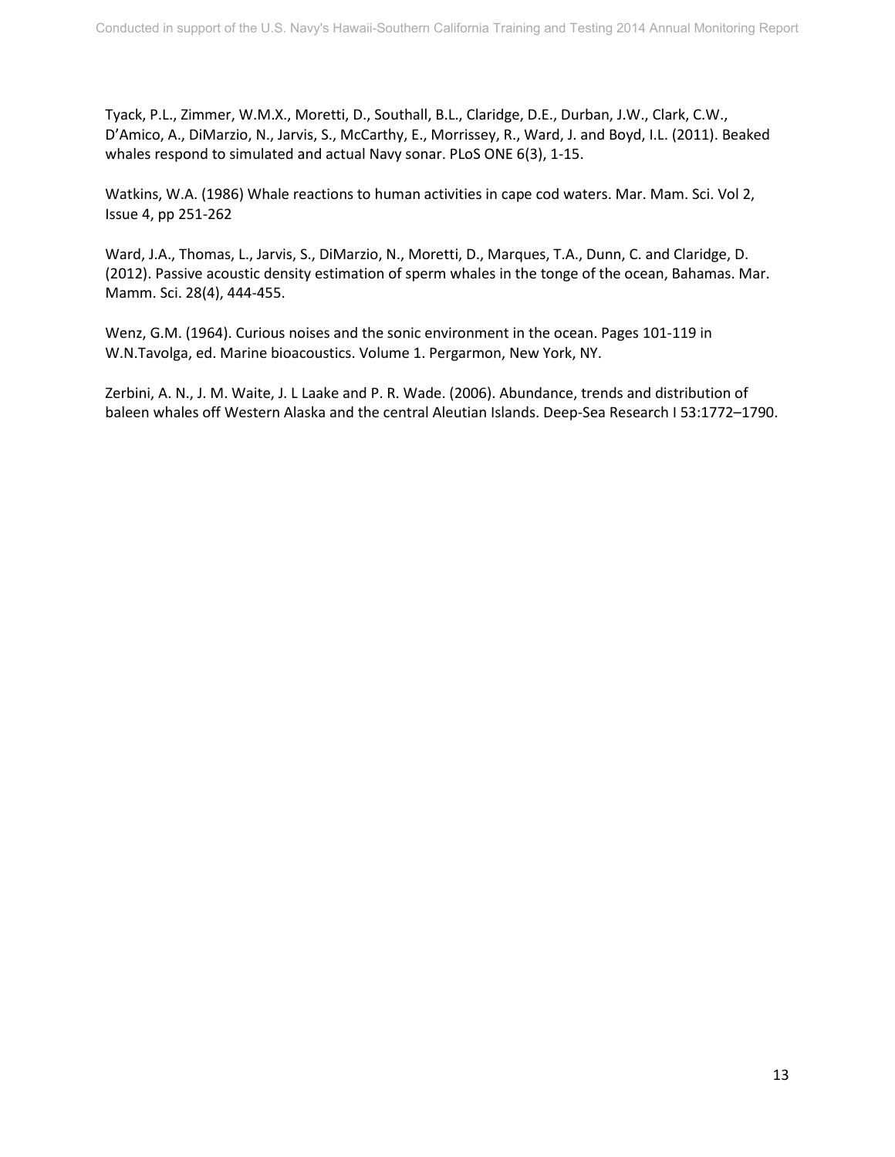Tyack, P.L., Zimmer, W.M.X., Moretti, D., Southall, B.L., Claridge, D.E., Durban, J.W., Clark, C.W., D'Amico, A., DiMarzio, N., Jarvis, S., McCarthy, E., Morrissey, R., Ward, J. and Boyd, I.L. (2011). Beaked whales respond to simulated and actual Navy sonar. PLoS ONE 6(3), 1-15.

Watkins, W.A. (1986) Whale reactions to human activities in cape cod waters. Mar. Mam. Sci. Vol 2, Issue 4, pp 251-262

Ward, J.A., Thomas, L., Jarvis, S., DiMarzio, N., Moretti, D., Marques, T.A., Dunn, C. and Claridge, D. (2012). Passive acoustic density estimation of sperm whales in the tonge of the ocean, Bahamas. Mar. Mamm. Sci. 28(4), 444-455.

Wenz, G.M. (1964). Curious noises and the sonic environment in the ocean. Pages 101-119 in W.N.Tavolga, ed. Marine bioacoustics. Volume 1. Pergarmon, New York, NY.

Zerbini, A. N., J. M. Waite, J. L Laake and P. R. Wade. (2006). Abundance, trends and distribution of baleen whales off Western Alaska and the central Aleutian Islands. Deep-Sea Research I 53:1772–1790.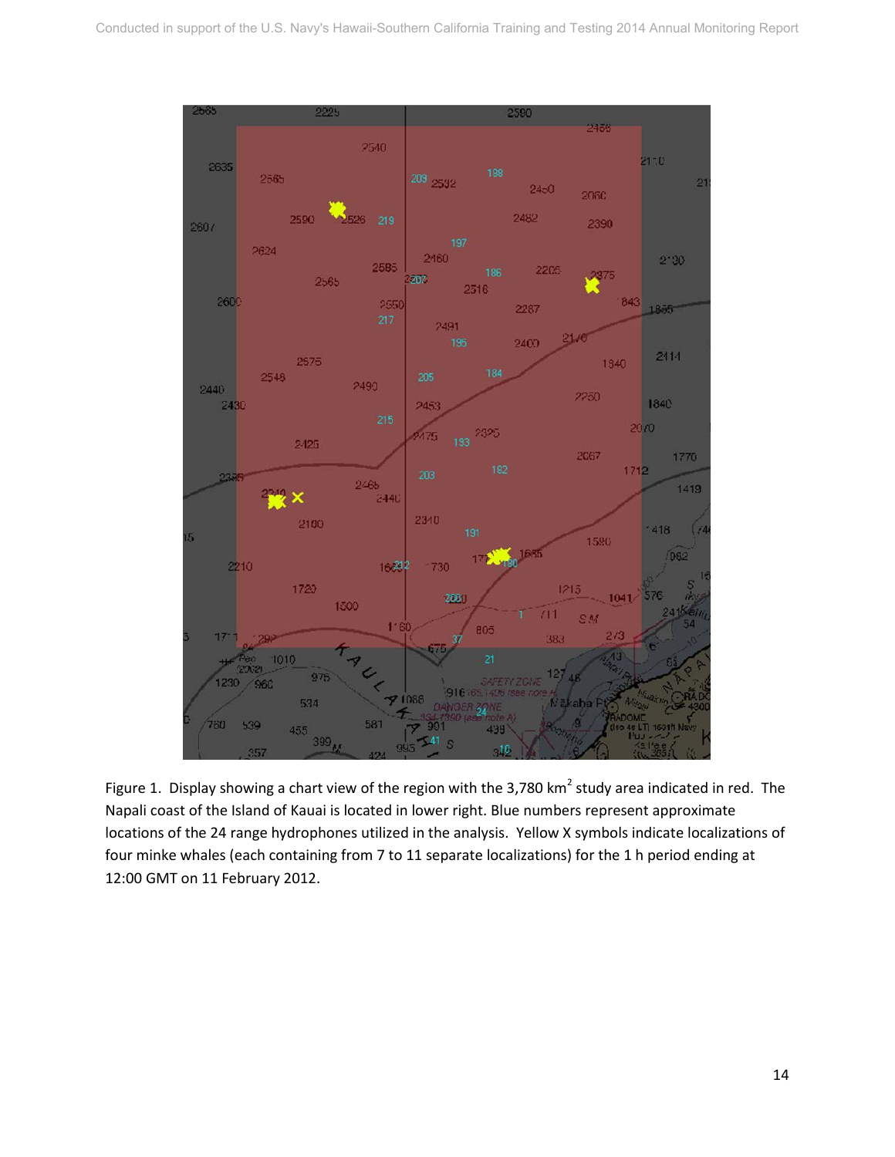

Figure 1. Display showing a chart view of the region with the 3,780 km<sup>2</sup> study area indicated in red. The Napali coast of the Island of Kauai is located in lower right. Blue numbers represent approximate locations of the 24 range hydrophones utilized in the analysis. Yellow X symbols indicate localizations of four minke whales (each containing from 7 to 11 separate localizations) for the 1 h period ending at 12:00 GMT on 11 February 2012.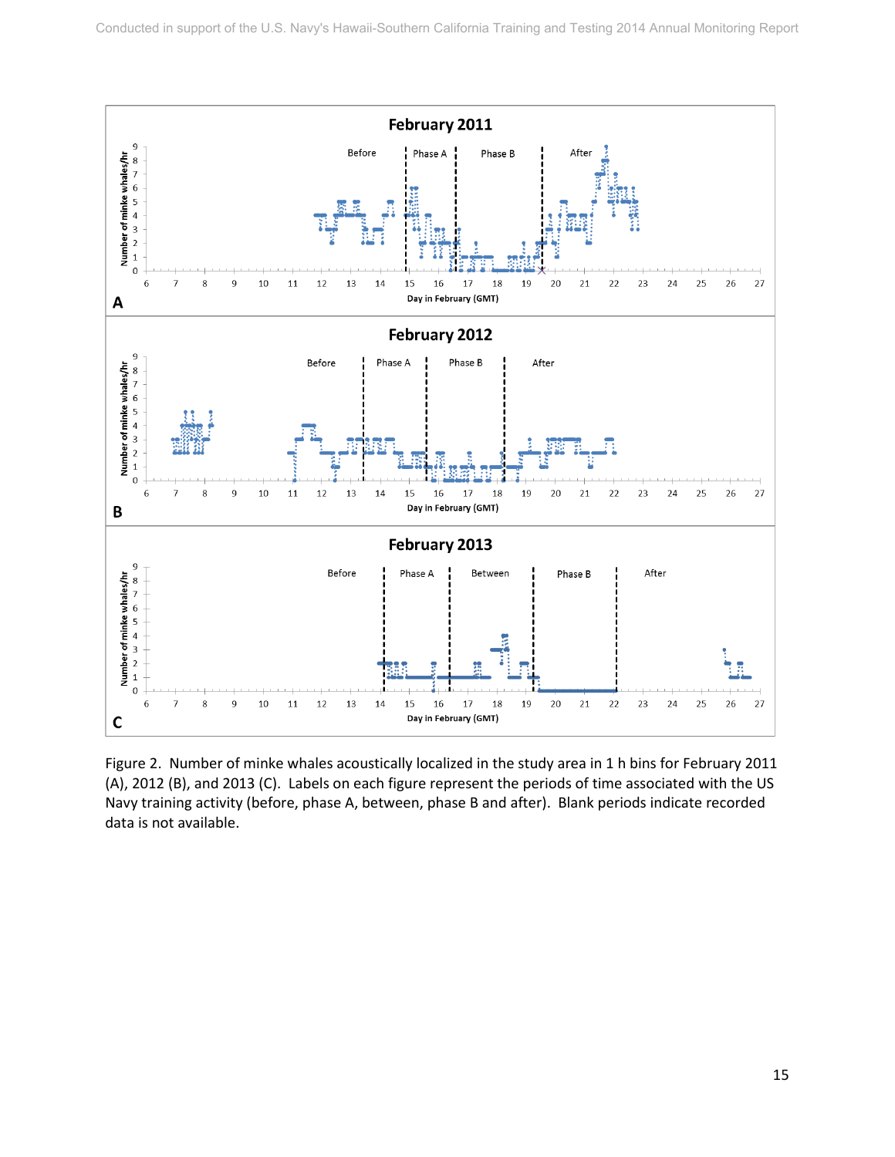

Figure 2. Number of minke whales acoustically localized in the study area in 1 h bins for February 2011 (A), 2012 (B), and 2013 (C). Labels on each figure represent the periods of time associated with the US Navy training activity (before, phase A, between, phase B and after). Blank periods indicate recorded data is not available.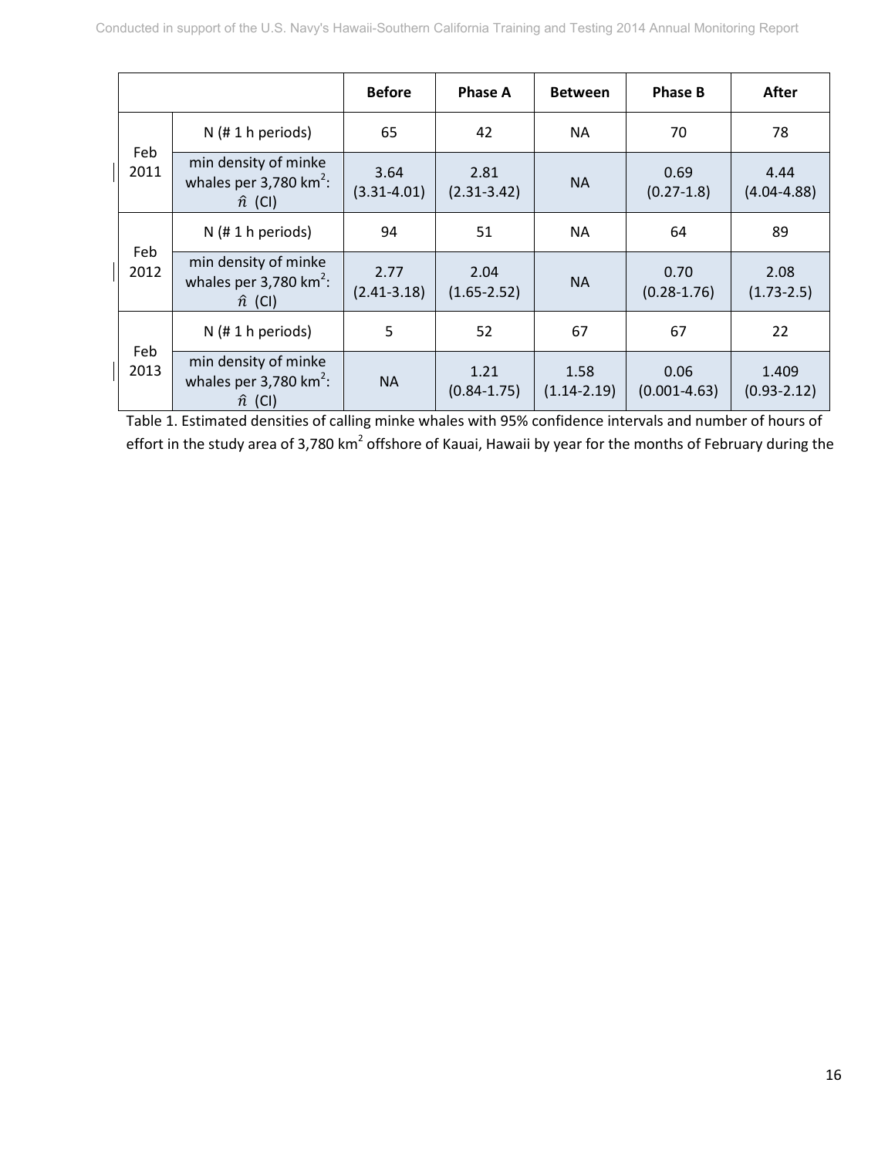|             |                                                                     | <b>Before</b>           | <b>Phase A</b>          | <b>Between</b>          | <b>Phase B</b>           | After                    |
|-------------|---------------------------------------------------------------------|-------------------------|-------------------------|-------------------------|--------------------------|--------------------------|
| Feb<br>2011 | $N$ (# 1 h periods)                                                 | 65                      | 42                      | <b>NA</b>               | 70                       | 78                       |
|             | min density of minke<br>whales per 3,780 $km^2$ :<br>$\hat{n}$ (CI) | 3.64<br>$(3.31 - 4.01)$ | 2.81<br>$(2.31 - 3.42)$ | <b>NA</b>               | 0.69<br>$(0.27-1.8)$     | 4.44<br>$(4.04 - 4.88)$  |
| Feb<br>2012 | $N$ (# 1 h periods)                                                 | 94                      | 51                      | <b>NA</b>               | 64                       | 89                       |
|             | min density of minke<br>whales per 3,780 $km^2$ :<br>$\hat{n}$ (CI) | 2.77<br>$(2.41 - 3.18)$ | 2.04<br>$(1.65 - 2.52)$ | <b>NA</b>               | 0.70<br>$(0.28 - 1.76)$  | 2.08<br>$(1.73 - 2.5)$   |
| Feb<br>2013 | $N$ (# 1 h periods)                                                 | 5                       | 52                      | 67                      | 67                       | 22                       |
|             | min density of minke<br>whales per 3,780 $km^2$ :<br>$\hat{n}$ (CI) | <b>NA</b>               | 1.21<br>$(0.84 - 1.75)$ | 1.58<br>$(1.14 - 2.19)$ | 0.06<br>$(0.001 - 4.63)$ | 1.409<br>$(0.93 - 2.12)$ |

Table 1. Estimated densities of calling minke whales with 95% confidence intervals and number of hours of effort in the study area of 3,780 km<sup>2</sup> offshore of Kauai, Hawaii by year for the months of February during the